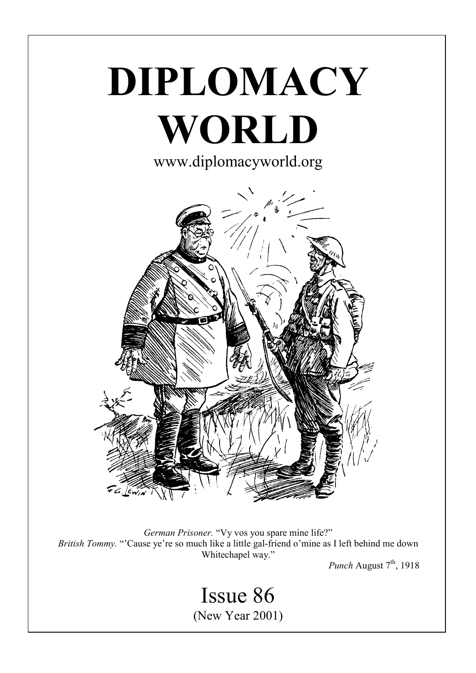

*German Prisoner.* "Vy vos you spare mine life?" *British Tommy.* "'Cause ye're so much like a little gal-friend o'mine as I left behind me down Whitechapel way."

*Punch* August 7<sup>th</sup>, 1918

# Issue 86

(New Year 2001)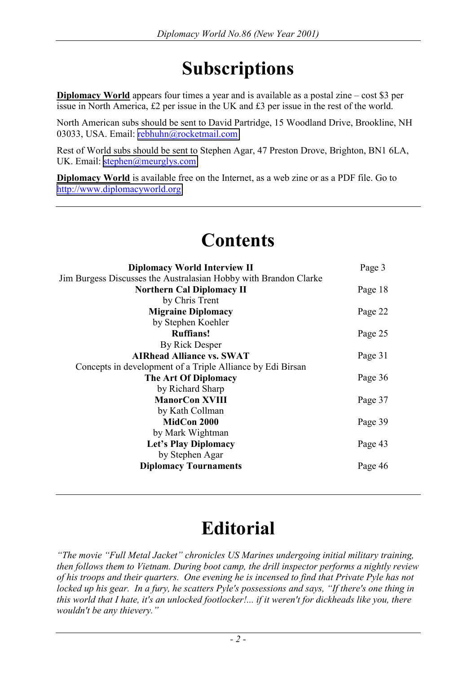## **Subscriptions**

**Diplomacy World** appears four times a year and is available as a postal zine – cost \$3 per issue in North America, £2 per issue in the UK and £3 per issue in the rest of the world.

North American subs should be sent to David Partridge, 15 Woodland Drive, Brookline, NH 03033, USA. Email: [rebhuhn@rocketmail.com](mailto:rebhuhn@rocketmail.com)

Rest of World subs should be sent to Stephen Agar, 47 Preston Drove, Brighton, BN1 6LA, UK. Email: [stephen@meurglys.com](mailto:stephen@meurglys.com)

**Diplomacy World** is available free on the Internet, as a web zine or as a PDF file. Go to [http://www.diplomacyworld.org](http://www.diplomacyworld.org/)

| <b>Diplomacy World Interview II</b>                              | Page 3  |
|------------------------------------------------------------------|---------|
| Jim Burgess Discusses the Australasian Hobby with Brandon Clarke |         |
| <b>Northern Cal Diplomacy II</b>                                 | Page 18 |
| by Chris Trent                                                   |         |
| <b>Migraine Diplomacy</b>                                        | Page 22 |
| by Stephen Koehler                                               |         |
| <b>Ruffians!</b>                                                 | Page 25 |
| By Rick Desper                                                   |         |
| <b>AIRhead Alliance vs. SWAT</b>                                 | Page 31 |
| Concepts in development of a Triple Alliance by Edi Birsan       |         |
| The Art Of Diplomacy                                             | Page 36 |
| by Richard Sharp                                                 |         |
| <b>ManorCon XVIII</b>                                            | Page 37 |
| by Kath Collman                                                  |         |
| MidCon 2000                                                      | Page 39 |
| by Mark Wightman                                                 |         |
| Let's Play Diplomacy                                             | Page 43 |
| by Stephen Agar                                                  |         |
| <b>Diplomacy Tournaments</b>                                     | Page 46 |
|                                                                  |         |

### **Contents**

## **Editorial**

*"The movie "Full Metal Jacket" chronicles US Marines undergoing initial military training, then follows them to Vietnam. During boot camp, the drill inspector performs a nightly review of his troops and their quarters. One evening he is incensed to find that Private Pyle has not locked up his gear. In a fury, he scatters Pyle's possessions and says, "If there's one thing in this world that I hate, it's an unlocked footlocker!... if it weren't for dickheads like you, there wouldn't be any thievery."*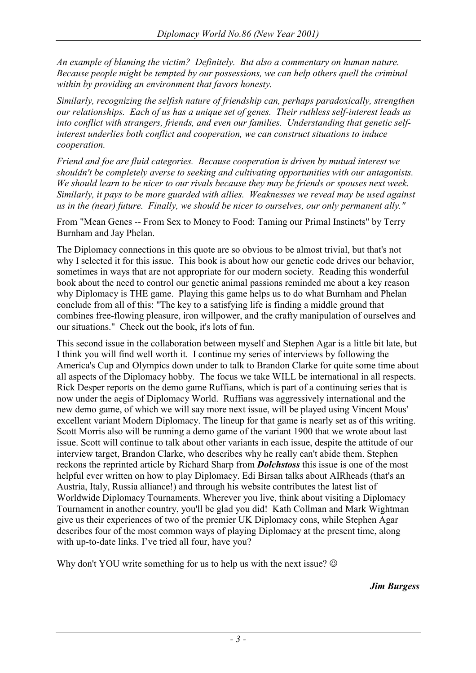*An example of blaming the victim? Definitely. But also a commentary on human nature. Because people might be tempted by our possessions, we can help others quell the criminal within by providing an environment that favors honesty.* 

*Similarly, recognizing the selfish nature of friendship can, perhaps paradoxically, strengthen our relationships. Each of us has a unique set of genes. Their ruthless self-interest leads us into conflict with strangers, friends, and even our families. Understanding that genetic selfinterest underlies both conflict and cooperation, we can construct situations to induce cooperation.* 

*Friend and foe are fluid categories. Because cooperation is driven by mutual interest we shouldn't be completely averse to seeking and cultivating opportunities with our antagonists. We should learn to be nicer to our rivals because they may be friends or spouses next week. Similarly, it pays to be more guarded with allies. Weaknesses we reveal may be used against us in the (near) future. Finally, we should be nicer to ourselves, our only permanent ally."* 

From "Mean Genes -- From Sex to Money to Food: Taming our Primal Instincts" by Terry Burnham and Jay Phelan.

The Diplomacy connections in this quote are so obvious to be almost trivial, but that's not why I selected it for this issue. This book is about how our genetic code drives our behavior, sometimes in ways that are not appropriate for our modern society. Reading this wonderful book about the need to control our genetic animal passions reminded me about a key reason why Diplomacy is THE game. Playing this game helps us to do what Burnham and Phelan conclude from all of this: "The key to a satisfying life is finding a middle ground that combines free-flowing pleasure, iron willpower, and the crafty manipulation of ourselves and our situations." Check out the book, it's lots of fun.

This second issue in the collaboration between myself and Stephen Agar is a little bit late, but I think you will find well worth it. I continue my series of interviews by following the America's Cup and Olympics down under to talk to Brandon Clarke for quite some time about all aspects of the Diplomacy hobby. The focus we take WILL be international in all respects. Rick Desper reports on the demo game Ruffians, which is part of a continuing series that is now under the aegis of Diplomacy World. Ruffians was aggressively international and the new demo game, of which we will say more next issue, will be played using Vincent Mous' excellent variant Modern Diplomacy. The lineup for that game is nearly set as of this writing. Scott Morris also will be running a demo game of the variant 1900 that we wrote about last issue. Scott will continue to talk about other variants in each issue, despite the attitude of our interview target, Brandon Clarke, who describes why he really can't abide them. Stephen reckons the reprinted article by Richard Sharp from *Dolchstoss* this issue is one of the most helpful ever written on how to play Diplomacy. Edi Birsan talks about AIRheads (that's an Austria, Italy, Russia alliance!) and through his website contributes the latest list of Worldwide Diplomacy Tournaments. Wherever you live, think about visiting a Diplomacy Tournament in another country, you'll be glad you did! Kath Collman and Mark Wightman give us their experiences of two of the premier UK Diplomacy cons, while Stephen Agar describes four of the most common ways of playing Diplomacy at the present time, along with up-to-date links. I've tried all four, have you?

Why don't YOU write something for us to help us with the next issue?  $\odot$ 

*Jim Burgess*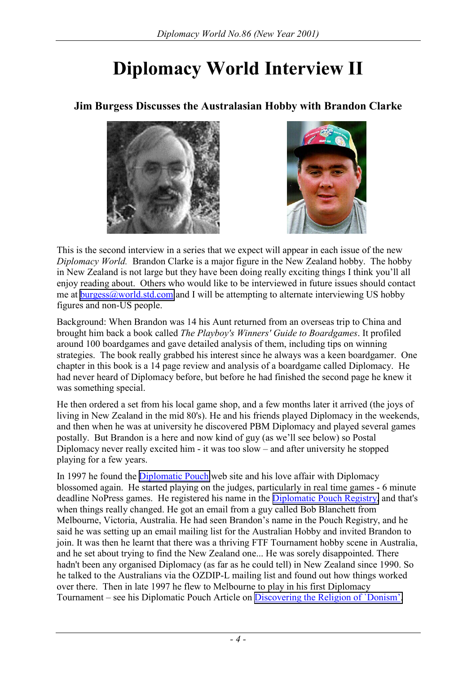# **Diplomacy World Interview II**

### **Jim Burgess Discusses the Australasian Hobby with Brandon Clarke**





This is the second interview in a series that we expect will appear in each issue of the new *Diplomacy World.* Brandon Clarke is a major figure in the New Zealand hobby. The hobby in New Zealand is not large but they have been doing really exciting things I think you'll all enjoy reading about. Others who would like to be interviewed in future issues should contact me at [burgess@world.std.com](mailto:burgess@world.std.com) and I will be attempting to alternate interviewing US hobby figures and non-US people.

Background: When Brandon was 14 his Aunt returned from an overseas trip to China and brought him back a book called *The Playboy's Winners' Guide to Boardgames*. It profiled around 100 boardgames and gave detailed analysis of them, including tips on winning strategies. The book really grabbed his interest since he always was a keen boardgamer. One chapter in this book is a 14 page review and analysis of a boardgame called Diplomacy. He had never heard of Diplomacy before, but before he had finished the second page he knew it was something special.

He then ordered a set from his local game shop, and a few months later it arrived (the joys of living in New Zealand in the mid 80's). He and his friends played Diplomacy in the weekends, and then when he was at university he discovered PBM Diplomacy and played several games postally. But Brandon is a here and now kind of guy (as we'll see below) so Postal Diplomacy never really excited him - it was too slow – and after university he stopped playing for a few years.

In 1997 he found the [Diplomatic Pouch](http://devel.diplom.org/DipPouch) web site and his love affair with Diplomacy blossomed again. He started playing on the judges, particularly in real time games - 6 minute deadline NoPress games. He registered his name in the [Diplomatic Pouch Registry,](http://devel.diplom.org/Registry/) and that's when things really changed. He got an email from a guy called Bob Blanchett from Melbourne, Victoria, Australia. He had seen Brandon's name in the Pouch Registry, and he said he was setting up an email mailing list for the Australian Hobby and invited Brandon to join. It was then he learnt that there was a thriving FTF Tournament hobby scene in Australia, and he set about trying to find the New Zealand one... He was sorely disappointed. There hadn't been any organised Diplomacy (as far as he could tell) in New Zealand since 1990. So he talked to the Australians via the OZDIP-L mailing list and found out how things worked over there. Then in late 1997 he flew to Melbourne to play in his first Diplomacy Tournament – see his Diplomatic Pouch Article on [Discovering the Religion of `Donism'.](http://devel.diplom.org/DipPouch/Zine/W1997A/Clarke/Don.html)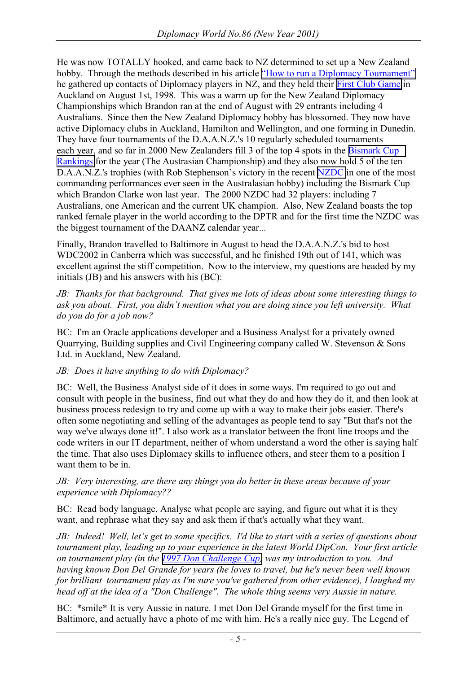He was now TOTALLY hooked, and came back to NZ determined to set up a New Zealand hobby. Through the methods described in his article ["How to run a Diplomacy Tournament"](http://devel.diplom.org/DipPouch/Zine/F1999R/Clarke/runit.html) he gathered up contacts of Diplomacy players in NZ, and they held their [First Club Game](http://www.nzdipclub.f2s.com/01-08-98.html) in Auckland on August 1st, 1998. This was a warm up for the New Zealand Diplomacy Championships which Brandon ran at the end of August with 29 entrants including 4 Australians. Since then the New Zealand Diplomacy hobby has blossomed. They now have active Diplomacy clubs in Auckland, Hamilton and Wellington, and one forming in Dunedin. They have four tournaments of the D.A.A.N.Z.'s 10 regularly scheduled tournaments each year, and so far in 2000 New Zealanders fill 3 of the top 4 spots in the [Bismark Cup](http://www.thingy.apana.org.au/~ozdip/results/bc2000.htm)  [Rankings](http://www.thingy.apana.org.au/~ozdip/results/bc2000.htm) for the year (The Austrasian Championship) and they also now hold 5 of the ten D.A.A.N.Z.'s trophies (with Rob Stephenson's victory in the recent [NZDC](http://www.thingy.apana.org.au/~ozdip/results/res-nz2000.htm) in one of the most commanding performances ever seen in the Australasian hobby) including the Bismark Cup which Brandon Clarke won last year. The 2000 NZDC had 32 players: including 7 Australians, one American and the current UK champion. Also, New Zealand boasts the top ranked female player in the world according to the DPTR and for the first time the NZDC was the biggest tournament of the DAANZ calendar year...

Finally, Brandon travelled to Baltimore in August to head the D.A.A.N.Z.'s bid to host WDC2002 in Canberra which was successful, and he finished 19th out of 141, which was excellent against the stiff competition. Now to the interview, my questions are headed by my initials (JB) and his answers with his (BC):

*JB: Thanks for that background. That gives me lots of ideas about some interesting things to ask you about. First, you didn't mention what you are doing since you left university. What do you do for a job now?* 

BC: I'm an Oracle applications developer and a Business Analyst for a privately owned Quarrying, Building supplies and Civil Engineering company called W. Stevenson & Sons Ltd. in Auckland, New Zealand.

### *JB: Does it have anything to do with Diplomacy?*

BC: Well, the Business Analyst side of it does in some ways. I'm required to go out and consult with people in the business, find out what they do and how they do it, and then look at business process redesign to try and come up with a way to make their jobs easier. There's often some negotiating and selling of the advantages as people tend to say "But that's not the way we've always done it!". I also work as a translator between the front line troops and the code writers in our IT department, neither of whom understand a word the other is saying half the time. That also uses Diplomacy skills to influence others, and steer them to a position I want them to be in.

### *JB: Very interesting, are there any things you do better in these areas because of your experience with Diplomacy??*

BC: Read body language. Analyse what people are saying, and figure out what it is they want, and rephrase what they say and ask them if that's actually what they want.

*JB: Indeed! Well, let's get to some specifics. I'd like to start with a series of questions about tournament play, leading up to your experience in the latest World DipCon. Your first article on tournament play (in the [1997 Don Challenge Cup\)](http://devel.diplom.org/DipPouch/Zine/W1997A/Clarke/Don.html) was my introduction to you. And having known Don Del Grande for years (he loves to travel, but he's never been well known for brilliant tournament play as I'm sure you've gathered from other evidence), I laughed my head off at the idea of a "Don Challenge". The whole thing seems very Aussie in nature.* 

BC: \*smile\* It is very Aussie in nature. I met Don Del Grande myself for the first time in Baltimore, and actually have a photo of me with him. He's a really nice guy. The Legend of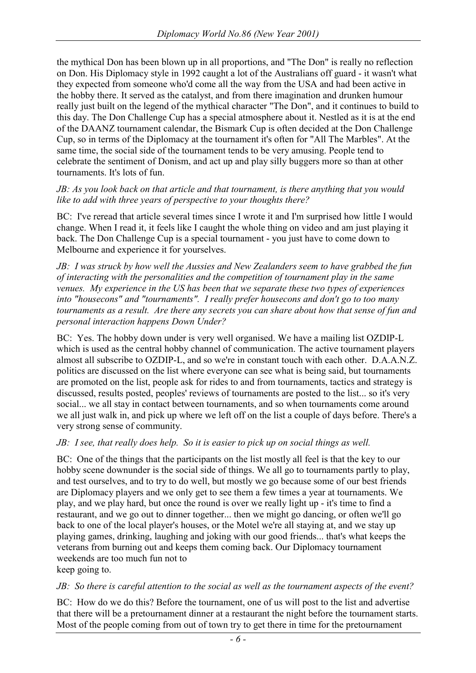the mythical Don has been blown up in all proportions, and "The Don" is really no reflection on Don. His Diplomacy style in 1992 caught a lot of the Australians off guard - it wasn't what they expected from someone who'd come all the way from the USA and had been active in the hobby there. It served as the catalyst, and from there imagination and drunken humour really just built on the legend of the mythical character "The Don", and it continues to build to this day. The Don Challenge Cup has a special atmosphere about it. Nestled as it is at the end of the DAANZ tournament calendar, the Bismark Cup is often decided at the Don Challenge Cup, so in terms of the Diplomacy at the tournament it's often for "All The Marbles". At the same time, the social side of the tournament tends to be very amusing. People tend to celebrate the sentiment of Donism, and act up and play silly buggers more so than at other tournaments. It's lots of fun.

### *JB: As you look back on that article and that tournament, is there anything that you would like to add with three years of perspective to your thoughts there?*

BC: I've reread that article several times since I wrote it and I'm surprised how little I would change. When I read it, it feels like I caught the whole thing on video and am just playing it back. The Don Challenge Cup is a special tournament - you just have to come down to Melbourne and experience it for yourselves.

*JB: I was struck by how well the Aussies and New Zealanders seem to have grabbed the fun of interacting with the personalities and the competition of tournament play in the same venues. My experience in the US has been that we separate these two types of experiences into "housecons" and "tournaments". I really prefer housecons and don't go to too many tournaments as a result. Are there any secrets you can share about how that sense of fun and personal interaction happens Down Under?* 

BC: Yes. The hobby down under is very well organised. We have a mailing list OZDIP-L which is used as the central hobby channel of communication. The active tournament players almost all subscribe to OZDIP-L, and so we're in constant touch with each other. D.A.A.N.Z. politics are discussed on the list where everyone can see what is being said, but tournaments are promoted on the list, people ask for rides to and from tournaments, tactics and strategy is discussed, results posted, peoples' reviews of tournaments are posted to the list... so it's very social... we all stay in contact between tournaments, and so when tournaments come around we all just walk in, and pick up where we left off on the list a couple of days before. There's a very strong sense of community.

### *JB: I see, that really does help. So it is easier to pick up on social things as well.*

BC: One of the things that the participants on the list mostly all feel is that the key to our hobby scene downunder is the social side of things. We all go to tournaments partly to play, and test ourselves, and to try to do well, but mostly we go because some of our best friends are Diplomacy players and we only get to see them a few times a year at tournaments. We play, and we play hard, but once the round is over we really light up - it's time to find a restaurant, and we go out to dinner together... then we might go dancing, or often we'll go back to one of the local player's houses, or the Motel we're all staying at, and we stay up playing games, drinking, laughing and joking with our good friends... that's what keeps the veterans from burning out and keeps them coming back. Our Diplomacy tournament weekends are too much fun not to keep going to.

### *JB: So there is careful attention to the social as well as the tournament aspects of the event?*

BC: How do we do this? Before the tournament, one of us will post to the list and advertise that there will be a pretournament dinner at a restaurant the night before the tournament starts. Most of the people coming from out of town try to get there in time for the pretournament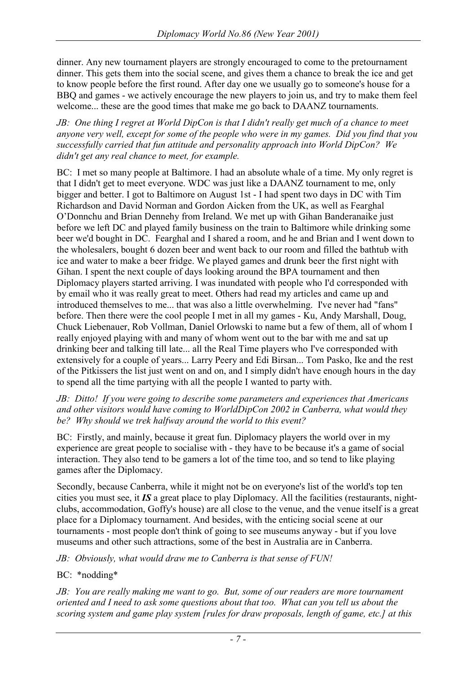dinner. Any new tournament players are strongly encouraged to come to the pretournament dinner. This gets them into the social scene, and gives them a chance to break the ice and get to know people before the first round. After day one we usually go to someone's house for a BBQ and games - we actively encourage the new players to join us, and try to make them feel welcome... these are the good times that make me go back to DAANZ tournaments.

*JB: One thing I regret at World DipCon is that I didn't really get much of a chance to meet anyone very well, except for some of the people who were in my games. Did you find that you successfully carried that fun attitude and personality approach into World DipCon? We didn't get any real chance to meet, for example.* 

BC: I met so many people at Baltimore. I had an absolute whale of a time. My only regret is that I didn't get to meet everyone. WDC was just like a DAANZ tournament to me, only bigger and better. I got to Baltimore on August 1st - I had spent two days in DC with Tim Richardson and David Norman and Gordon Aicken from the UK, as well as Fearghal O'Donnchu and Brian Dennehy from Ireland. We met up with Gihan Banderanaike just before we left DC and played family business on the train to Baltimore while drinking some beer we'd bought in DC. Fearghal and I shared a room, and he and Brian and I went down to the wholesalers, bought 6 dozen beer and went back to our room and filled the bathtub with ice and water to make a beer fridge. We played games and drunk beer the first night with Gihan. I spent the next couple of days looking around the BPA tournament and then Diplomacy players started arriving. I was inundated with people who I'd corresponded with by email who it was really great to meet. Others had read my articles and came up and introduced themselves to me... that was also a little overwhelming. I've never had "fans" before. Then there were the cool people I met in all my games - Ku, Andy Marshall, Doug, Chuck Liebenauer, Rob Vollman, Daniel Orlowski to name but a few of them, all of whom I really enjoyed playing with and many of whom went out to the bar with me and sat up drinking beer and talking till late... all the Real Time players who I've corresponded with extensively for a couple of years... Larry Peery and Edi Birsan... Tom Pasko, Ike and the rest of the Pitkissers the list just went on and on, and I simply didn't have enough hours in the day to spend all the time partying with all the people I wanted to party with.

*JB: Ditto! If you were going to describe some parameters and experiences that Americans and other visitors would have coming to WorldDipCon 2002 in Canberra, what would they be? Why should we trek halfway around the world to this event?* 

BC: Firstly, and mainly, because it great fun. Diplomacy players the world over in my experience are great people to socialise with - they have to be because it's a game of social interaction. They also tend to be gamers a lot of the time too, and so tend to like playing games after the Diplomacy.

Secondly, because Canberra, while it might not be on everyone's list of the world's top ten cities you must see, it *IS* a great place to play Diplomacy. All the facilities (restaurants, nightclubs, accommodation, Goffy's house) are all close to the venue, and the venue itself is a great place for a Diplomacy tournament. And besides, with the enticing social scene at our tournaments - most people don't think of going to see museums anyway - but if you love museums and other such attractions, some of the best in Australia are in Canberra.

*JB: Obviously, what would draw me to Canberra is that sense of FUN!* 

### BC: \*nodding\*

*JB: You are really making me want to go. But, some of our readers are more tournament oriented and I need to ask some questions about that too. What can you tell us about the scoring system and game play system [rules for draw proposals, length of game, etc.] at this*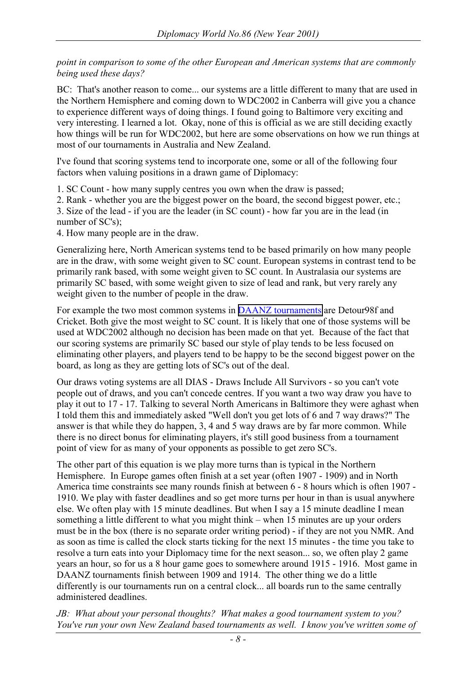*point in comparison to some of the other European and American systems that are commonly being used these days?* 

BC: That's another reason to come... our systems are a little different to many that are used in the Northern Hemisphere and coming down to WDC2002 in Canberra will give you a chance to experience different ways of doing things. I found going to Baltimore very exciting and very interesting. I learned a lot. Okay, none of this is official as we are still deciding exactly how things will be run for WDC2002, but here are some observations on how we run things at most of our tournaments in Australia and New Zealand.

I've found that scoring systems tend to incorporate one, some or all of the following four factors when valuing positions in a drawn game of Diplomacy:

1. SC Count - how many supply centres you own when the draw is passed;

2. Rank - whether you are the biggest power on the board, the second biggest power, etc.; 3. Size of the lead - if you are the leader (in SC count) - how far you are in the lead (in number of SC's);

4. How many people are in the draw.

Generalizing here, North American systems tend to be based primarily on how many people are in the draw, with some weight given to SC count. European systems in contrast tend to be primarily rank based, with some weight given to SC count. In Australasia our systems are primarily SC based, with some weight given to size of lead and rank, but very rarely any weight given to the number of people in the draw.

For example the two most common systems in [DAANZ tournaments](http://www.thingy.apana.org.au/~ozdip/daanz.htm) are Detour98f and Cricket. Both give the most weight to SC count. It is likely that one of those systems will be used at WDC2002 although no decision has been made on that yet. Because of the fact that our scoring systems are primarily SC based our style of play tends to be less focused on eliminating other players, and players tend to be happy to be the second biggest power on the board, as long as they are getting lots of SC's out of the deal.

Our draws voting systems are all DIAS - Draws Include All Survivors - so you can't vote people out of draws, and you can't concede centres. If you want a two way draw you have to play it out to 17 - 17. Talking to several North Americans in Baltimore they were aghast when I told them this and immediately asked "Well don't you get lots of 6 and 7 way draws?" The answer is that while they do happen, 3, 4 and 5 way draws are by far more common. While there is no direct bonus for eliminating players, it's still good business from a tournament point of view for as many of your opponents as possible to get zero SC's.

The other part of this equation is we play more turns than is typical in the Northern Hemisphere. In Europe games often finish at a set year (often 1907 - 1909) and in North America time constraints see many rounds finish at between 6 - 8 hours which is often 1907 - 1910. We play with faster deadlines and so get more turns per hour in than is usual anywhere else. We often play with 15 minute deadlines. But when I say a 15 minute deadline I mean something a little different to what you might think – when 15 minutes are up your orders must be in the box (there is no separate order writing period) - if they are not you NMR. And as soon as time is called the clock starts ticking for the next 15 minutes - the time you take to resolve a turn eats into your Diplomacy time for the next season... so, we often play 2 game years an hour, so for us a 8 hour game goes to somewhere around 1915 - 1916. Most game in DAANZ tournaments finish between 1909 and 1914. The other thing we do a little differently is our tournaments run on a central clock... all boards run to the same centrally administered deadlines.

*JB: What about your personal thoughts? What makes a good tournament system to you? You've run your own New Zealand based tournaments as well. I know you've written some of*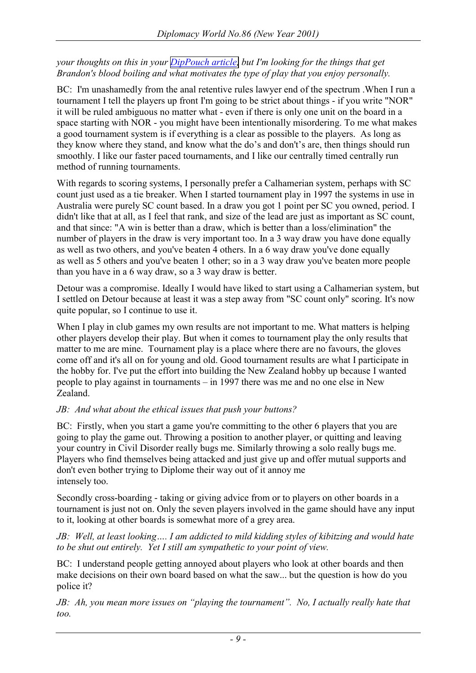### *your thoughts on this in your [DipPouch article,](http://devel.diplom.org/Zine/W1999A/Clarke/Bismark99.html) but I'm looking for the things that get Brandon's blood boiling and what motivates the type of play that you enjoy personally.*

BC: I'm unashamedly from the anal retentive rules lawyer end of the spectrum .When I run a tournament I tell the players up front I'm going to be strict about things - if you write "NOR" it will be ruled ambiguous no matter what - even if there is only one unit on the board in a space starting with NOR - you might have been intentionally misordering. To me what makes a good tournament system is if everything is a clear as possible to the players. As long as they know where they stand, and know what the do's and don't's are, then things should run smoothly. I like our faster paced tournaments, and I like our centrally timed centrally run method of running tournaments.

With regards to scoring systems, I personally prefer a Calhamerian system, perhaps with SC count just used as a tie breaker. When I started tournament play in 1997 the systems in use in Australia were purely SC count based. In a draw you got 1 point per SC you owned, period. I didn't like that at all, as I feel that rank, and size of the lead are just as important as SC count, and that since: "A win is better than a draw, which is better than a loss/elimination" the number of players in the draw is very important too. In a 3 way draw you have done equally as well as two others, and you've beaten 4 others. In a 6 way draw you've done equally as well as 5 others and you've beaten 1 other; so in a 3 way draw you've beaten more people than you have in a 6 way draw, so a 3 way draw is better.

Detour was a compromise. Ideally I would have liked to start using a Calhamerian system, but I settled on Detour because at least it was a step away from "SC count only" scoring. It's now quite popular, so I continue to use it.

When I play in club games my own results are not important to me. What matters is helping other players develop their play. But when it comes to tournament play the only results that matter to me are mine. Tournament play is a place where there are no favours, the gloves come off and it's all on for young and old. Good tournament results are what I participate in the hobby for. I've put the effort into building the New Zealand hobby up because I wanted people to play against in tournaments – in 1997 there was me and no one else in New Zealand.

### *JB: And what about the ethical issues that push your buttons?*

BC: Firstly, when you start a game you're committing to the other 6 players that you are going to play the game out. Throwing a position to another player, or quitting and leaving your country in Civil Disorder really bugs me. Similarly throwing a solo really bugs me. Players who find themselves being attacked and just give up and offer mutual supports and don't even bother trying to Diplome their way out of it annoy me intensely too.

Secondly cross-boarding - taking or giving advice from or to players on other boards in a tournament is just not on. Only the seven players involved in the game should have any input to it, looking at other boards is somewhat more of a grey area.

### *JB: Well, at least looking…. I am addicted to mild kidding styles of kibitzing and would hate to be shut out entirely. Yet I still am sympathetic to your point of view.*

BC: I understand people getting annoyed about players who look at other boards and then make decisions on their own board based on what the saw... but the question is how do you police it?

*JB*: Ah, you mean more issues on "playing the tournament". No, I actually really hate that *too.*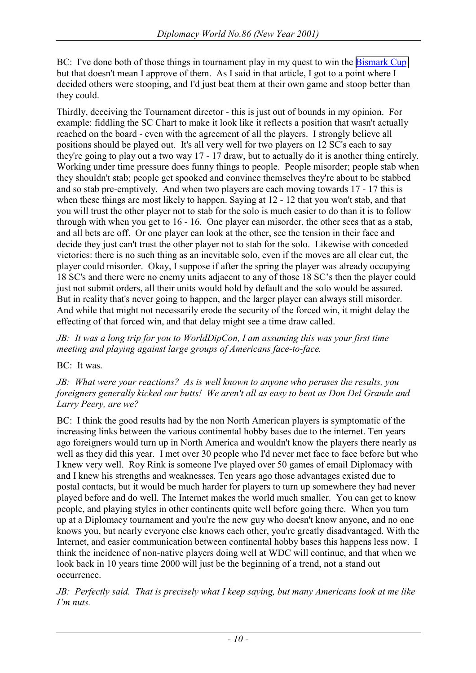BC: I've done both of those things in tournament play in my quest to win the [Bismark Cup](http://devel.diplom.org/Zine/W1999A/Clarke/Bismark99.html) but that doesn't mean I approve of them. As I said in that article, I got to a point where I decided others were stooping, and I'd just beat them at their own game and stoop better than they could.

Thirdly, deceiving the Tournament director - this is just out of bounds in my opinion. For example: fiddling the SC Chart to make it look like it reflects a position that wasn't actually reached on the board - even with the agreement of all the players. I strongly believe all positions should be played out. It's all very well for two players on 12 SC's each to say they're going to play out a two way 17 - 17 draw, but to actually do it is another thing entirely. Working under time pressure does funny things to people. People misorder; people stab when they shouldn't stab; people get spooked and convince themselves they're about to be stabbed and so stab pre-emptively. And when two players are each moving towards 17 - 17 this is when these things are most likely to happen. Saying at 12 - 12 that you won't stab, and that you will trust the other player not to stab for the solo is much easier to do than it is to follow through with when you get to 16 - 16. One player can misorder, the other sees that as a stab, and all bets are off. Or one player can look at the other, see the tension in their face and decide they just can't trust the other player not to stab for the solo. Likewise with conceded victories: there is no such thing as an inevitable solo, even if the moves are all clear cut, the player could misorder. Okay, I suppose if after the spring the player was already occupying 18 SC's and there were no enemy units adjacent to any of those 18 SC's then the player could just not submit orders, all their units would hold by default and the solo would be assured. But in reality that's never going to happen, and the larger player can always still misorder. And while that might not necessarily erode the security of the forced win, it might delay the effecting of that forced win, and that delay might see a time draw called.

*JB: It was a long trip for you to WorldDipCon, I am assuming this was your first time meeting and playing against large groups of Americans face-to-face.* 

BC: It was.

*JB: What were your reactions? As is well known to anyone who peruses the results, you foreigners generally kicked our butts! We aren't all as easy to beat as Don Del Grande and Larry Peery, are we?* 

BC: I think the good results had by the non North American players is symptomatic of the increasing links between the various continental hobby bases due to the internet. Ten years ago foreigners would turn up in North America and wouldn't know the players there nearly as well as they did this year. I met over 30 people who I'd never met face to face before but who I knew very well. Roy Rink is someone I've played over 50 games of email Diplomacy with and I knew his strengths and weaknesses. Ten years ago those advantages existed due to postal contacts, but it would be much harder for players to turn up somewhere they had never played before and do well. The Internet makes the world much smaller. You can get to know people, and playing styles in other continents quite well before going there. When you turn up at a Diplomacy tournament and you're the new guy who doesn't know anyone, and no one knows you, but nearly everyone else knows each other, you're greatly disadvantaged. With the Internet, and easier communication between continental hobby bases this happens less now. I think the incidence of non-native players doing well at WDC will continue, and that when we look back in 10 years time 2000 will just be the beginning of a trend, not a stand out occurrence.

*JB: Perfectly said. That is precisely what I keep saying, but many Americans look at me like I'm nuts.*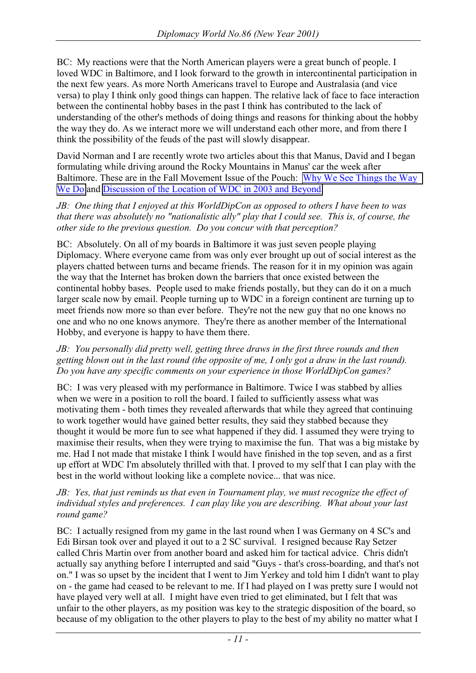BC: My reactions were that the North American players were a great bunch of people. I loved WDC in Baltimore, and I look forward to the growth in intercontinental participation in the next few years. As more North Americans travel to Europe and Australasia (and vice versa) to play I think only good things can happen. The relative lack of face to face interaction between the continental hobby bases in the past I think has contributed to the lack of understanding of the other's methods of doing things and reasons for thinking about the hobby the way they do. As we interact more we will understand each other more, and from there I think the possibility of the feuds of the past will slowly disappear.

David Norman and I are recently wrote two articles about this that Manus, David and I began formulating while driving around the Rocky Mountains in Manus' car the week after Baltimore. These are in the Fall Movement Issue of the Pouch: Why We See Things the Way [We Do](http://devel.diplom.org/Zine/F2000M/Norman/worldftf.html) and [Discussion of the Location of WDC in 2003 and Beyond.](http://devel.diplom.org/Zine/F2000M/Norman/wdclocation.html)

*JB: One thing that I enjoyed at this WorldDipCon as opposed to others I have been to was that there was absolutely no "nationalistic ally" play that I could see. This is, of course, the other side to the previous question. Do you concur with that perception?* 

BC: Absolutely. On all of my boards in Baltimore it was just seven people playing Diplomacy. Where everyone came from was only ever brought up out of social interest as the players chatted between turns and became friends. The reason for it in my opinion was again the way that the Internet has broken down the barriers that once existed between the continental hobby bases. People used to make friends postally, but they can do it on a much larger scale now by email. People turning up to WDC in a foreign continent are turning up to meet friends now more so than ever before. They're not the new guy that no one knows no one and who no one knows anymore. They're there as another member of the International Hobby, and everyone is happy to have them there.

### *JB: You personally did pretty well, getting three draws in the first three rounds and then getting blown out in the last round (the opposite of me, I only got a draw in the last round). Do you have any specific comments on your experience in those WorldDipCon games?*

BC: I was very pleased with my performance in Baltimore. Twice I was stabbed by allies when we were in a position to roll the board. I failed to sufficiently assess what was motivating them - both times they revealed afterwards that while they agreed that continuing to work together would have gained better results, they said they stabbed because they thought it would be more fun to see what happened if they did. I assumed they were trying to maximise their results, when they were trying to maximise the fun. That was a big mistake by me. Had I not made that mistake I think I would have finished in the top seven, and as a first up effort at WDC I'm absolutely thrilled with that. I proved to my self that I can play with the best in the world without looking like a complete novice... that was nice.

#### *JB: Yes, that just reminds us that even in Tournament play, we must recognize the effect of individual styles and preferences. I can play like you are describing. What about your last round game?*

BC: I actually resigned from my game in the last round when I was Germany on 4 SC's and Edi Birsan took over and played it out to a 2 SC survival. I resigned because Ray Setzer called Chris Martin over from another board and asked him for tactical advice. Chris didn't actually say anything before I interrupted and said "Guys - that's cross-boarding, and that's not on." I was so upset by the incident that I went to Jim Yerkey and told him I didn't want to play on - the game had ceased to be relevant to me. If I had played on I was pretty sure I would not have played very well at all. I might have even tried to get eliminated, but I felt that was unfair to the other players, as my position was key to the strategic disposition of the board, so because of my obligation to the other players to play to the best of my ability no matter what I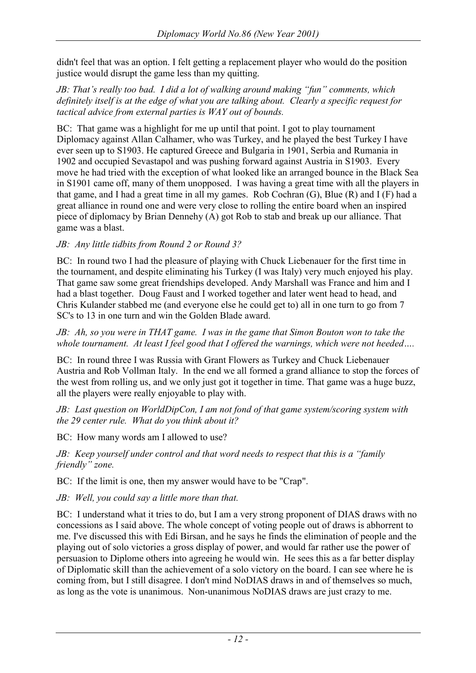didn't feel that was an option. I felt getting a replacement player who would do the position justice would disrupt the game less than my quitting.

### *JB: That's really too bad. I did a lot of walking around making "fun" comments, which definitely itself is at the edge of what you are talking about. Clearly a specific request for tactical advice from external parties is WAY out of bounds.*

BC: That game was a highlight for me up until that point. I got to play tournament Diplomacy against Allan Calhamer, who was Turkey, and he played the best Turkey I have ever seen up to S1903. He captured Greece and Bulgaria in 1901, Serbia and Rumania in 1902 and occupied Sevastapol and was pushing forward against Austria in S1903. Every move he had tried with the exception of what looked like an arranged bounce in the Black Sea in S1901 came off, many of them unopposed. I was having a great time with all the players in that game, and I had a great time in all my games. Rob Cochran (G), Blue (R) and I (F) had a great alliance in round one and were very close to rolling the entire board when an inspired piece of diplomacy by Brian Dennehy (A) got Rob to stab and break up our alliance. That game was a blast.

### *JB: Any little tidbits from Round 2 or Round 3?*

BC: In round two I had the pleasure of playing with Chuck Liebenauer for the first time in the tournament, and despite eliminating his Turkey (I was Italy) very much enjoyed his play. That game saw some great friendships developed. Andy Marshall was France and him and I had a blast together. Doug Faust and I worked together and later went head to head, and Chris Kulander stabbed me (and everyone else he could get to) all in one turn to go from 7 SC's to 13 in one turn and win the Golden Blade award.

### *JB: Ah, so you were in THAT game. I was in the game that Simon Bouton won to take the whole tournament. At least I feel good that I offered the warnings, which were not heeded….*

BC: In round three I was Russia with Grant Flowers as Turkey and Chuck Liebenauer Austria and Rob Vollman Italy. In the end we all formed a grand alliance to stop the forces of the west from rolling us, and we only just got it together in time. That game was a huge buzz, all the players were really enjoyable to play with.

*JB: Last question on WorldDipCon, I am not fond of that game system/scoring system with the 29 center rule. What do you think about it?* 

BC: How many words am I allowed to use?

*JB: Keep yourself under control and that word needs to respect that this is a "family friendly" zone.* 

BC: If the limit is one, then my answer would have to be "Crap".

*JB: Well, you could say a little more than that.* 

BC: I understand what it tries to do, but I am a very strong proponent of DIAS draws with no concessions as I said above. The whole concept of voting people out of draws is abhorrent to me. I've discussed this with Edi Birsan, and he says he finds the elimination of people and the playing out of solo victories a gross display of power, and would far rather use the power of persuasion to Diplome others into agreeing he would win. He sees this as a far better display of Diplomatic skill than the achievement of a solo victory on the board. I can see where he is coming from, but I still disagree. I don't mind NoDIAS draws in and of themselves so much, as long as the vote is unanimous. Non-unanimous NoDIAS draws are just crazy to me.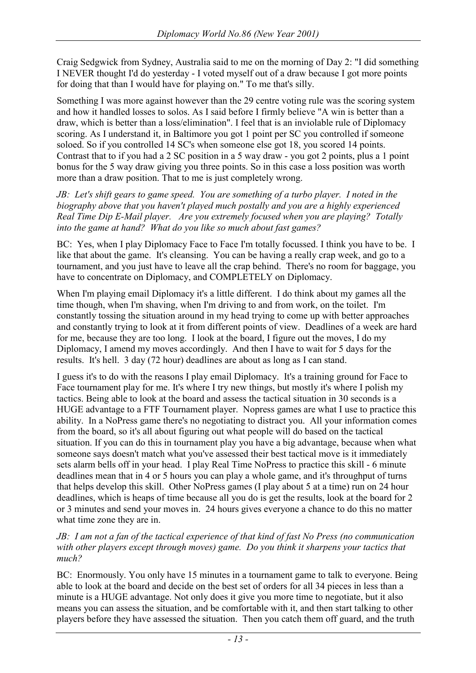Craig Sedgwick from Sydney, Australia said to me on the morning of Day 2: "I did something I NEVER thought I'd do yesterday - I voted myself out of a draw because I got more points for doing that than I would have for playing on." To me that's silly.

Something I was more against however than the 29 centre voting rule was the scoring system and how it handled losses to solos. As I said before I firmly believe "A win is better than a draw, which is better than a loss/elimination". I feel that is an inviolable rule of Diplomacy scoring. As I understand it, in Baltimore you got 1 point per SC you controlled if someone soloed. So if you controlled 14 SC's when someone else got 18, you scored 14 points. Contrast that to if you had a 2 SC position in a 5 way draw - you got 2 points, plus a 1 point bonus for the 5 way draw giving you three points. So in this case a loss position was worth more than a draw position. That to me is just completely wrong.

*JB: Let's shift gears to game speed. You are something of a turbo player. I noted in the biography above that you haven't played much postally and you are a highly experienced Real Time Dip E-Mail player. Are you extremely focused when you are playing? Totally into the game at hand? What do you like so much about fast games?* 

BC: Yes, when I play Diplomacy Face to Face I'm totally focussed. I think you have to be. I like that about the game. It's cleansing. You can be having a really crap week, and go to a tournament, and you just have to leave all the crap behind. There's no room for baggage, you have to concentrate on Diplomacy, and COMPLETELY on Diplomacy.

When I'm playing email Diplomacy it's a little different. I do think about my games all the time though, when I'm shaving, when I'm driving to and from work, on the toilet. I'm constantly tossing the situation around in my head trying to come up with better approaches and constantly trying to look at it from different points of view. Deadlines of a week are hard for me, because they are too long. I look at the board, I figure out the moves, I do my Diplomacy, I amend my moves accordingly. And then I have to wait for 5 days for the results. It's hell. 3 day (72 hour) deadlines are about as long as I can stand.

I guess it's to do with the reasons I play email Diplomacy. It's a training ground for Face to Face tournament play for me. It's where I try new things, but mostly it's where I polish my tactics. Being able to look at the board and assess the tactical situation in 30 seconds is a HUGE advantage to a FTF Tournament player. Nopress games are what I use to practice this ability. In a NoPress game there's no negotiating to distract you. All your information comes from the board, so it's all about figuring out what people will do based on the tactical situation. If you can do this in tournament play you have a big advantage, because when what someone says doesn't match what you've assessed their best tactical move is it immediately sets alarm bells off in your head. I play Real Time NoPress to practice this skill - 6 minute deadlines mean that in 4 or 5 hours you can play a whole game, and it's throughput of turns that helps develop this skill. Other NoPress games (I play about 5 at a time) run on 24 hour deadlines, which is heaps of time because all you do is get the results, look at the board for 2 or 3 minutes and send your moves in. 24 hours gives everyone a chance to do this no matter what time zone they are in.

*JB: I am not a fan of the tactical experience of that kind of fast No Press (no communication with other players except through moves) game. Do you think it sharpens your tactics that much?* 

BC: Enormously. You only have 15 minutes in a tournament game to talk to everyone. Being able to look at the board and decide on the best set of orders for all 34 pieces in less than a minute is a HUGE advantage. Not only does it give you more time to negotiate, but it also means you can assess the situation, and be comfortable with it, and then start talking to other players before they have assessed the situation. Then you catch them off guard, and the truth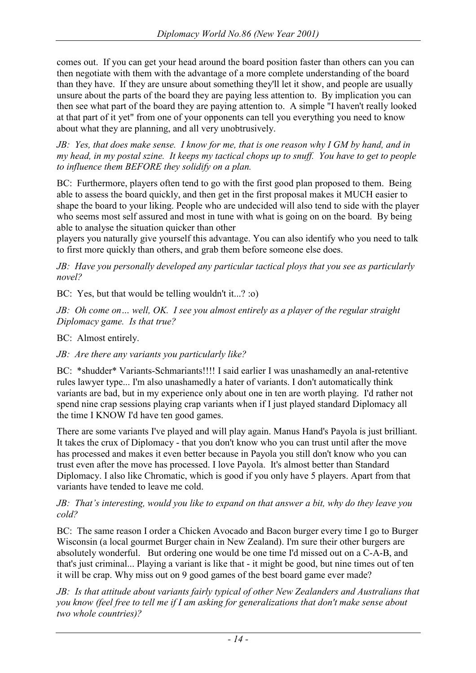comes out. If you can get your head around the board position faster than others can you can then negotiate with them with the advantage of a more complete understanding of the board than they have. If they are unsure about something they'll let it show, and people are usually unsure about the parts of the board they are paying less attention to. By implication you can then see what part of the board they are paying attention to. A simple "I haven't really looked at that part of it yet" from one of your opponents can tell you everything you need to know about what they are planning, and all very unobtrusively.

*JB: Yes, that does make sense. I know for me, that is one reason why I GM by hand, and in my head, in my postal szine. It keeps my tactical chops up to snuff. You have to get to people to influence them BEFORE they solidify on a plan.* 

BC: Furthermore, players often tend to go with the first good plan proposed to them. Being able to assess the board quickly, and then get in the first proposal makes it MUCH easier to shape the board to your liking. People who are undecided will also tend to side with the player who seems most self assured and most in tune with what is going on on the board. By being able to analyse the situation quicker than other

players you naturally give yourself this advantage. You can also identify who you need to talk to first more quickly than others, and grab them before someone else does.

*JB: Have you personally developed any particular tactical ploys that you see as particularly novel?* 

BC: Yes, but that would be telling wouldn't it...? :0)

*JB: Oh come on... well, OK. I see you almost entirely as a player of the regular straight Diplomacy game. Is that true?* 

BC: Almost entirely.

### *JB: Are there any variants you particularly like?*

BC: \*shudder\* Variants-Schmariants!!!! I said earlier I was unashamedly an anal-retentive rules lawyer type... I'm also unashamedly a hater of variants. I don't automatically think variants are bad, but in my experience only about one in ten are worth playing. I'd rather not spend nine crap sessions playing crap variants when if I just played standard Diplomacy all the time I KNOW I'd have ten good games.

There are some variants I've played and will play again. Manus Hand's Payola is just brilliant. It takes the crux of Diplomacy - that you don't know who you can trust until after the move has processed and makes it even better because in Payola you still don't know who you can trust even after the move has processed. I love Payola. It's almost better than Standard Diplomacy. I also like Chromatic, which is good if you only have 5 players. Apart from that variants have tended to leave me cold.

#### *JB: That's interesting, would you like to expand on that answer a bit, why do they leave you cold?*

BC: The same reason I order a Chicken Avocado and Bacon burger every time I go to Burger Wisconsin (a local gourmet Burger chain in New Zealand). I'm sure their other burgers are absolutely wonderful. But ordering one would be one time I'd missed out on a C-A-B, and that's just criminal... Playing a variant is like that - it might be good, but nine times out of ten it will be crap. Why miss out on 9 good games of the best board game ever made?

*JB: Is that attitude about variants fairly typical of other New Zealanders and Australians that you know (feel free to tell me if I am asking for generalizations that don't make sense about two whole countries)?*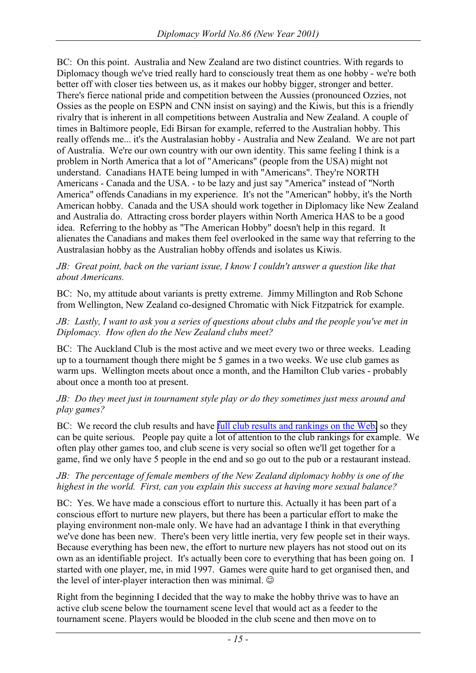BC: On this point. Australia and New Zealand are two distinct countries. With regards to Diplomacy though we've tried really hard to consciously treat them as one hobby - we're both better off with closer ties between us, as it makes our hobby bigger, stronger and better. There's fierce national pride and competition between the Aussies (pronounced Ozzies, not Ossies as the people on ESPN and CNN insist on saying) and the Kiwis, but this is a friendly rivalry that is inherent in all competitions between Australia and New Zealand. A couple of times in Baltimore people, Edi Birsan for example, referred to the Australian hobby. This really offends me... it's the Australasian hobby - Australia and New Zealand. We are not part of Australia. We're our own country with our own identity. This same feeling I think is a problem in North America that a lot of "Americans" (people from the USA) might not understand. Canadians HATE being lumped in with "Americans". They're NORTH Americans - Canada and the USA. - to be lazy and just say "America" instead of "North America" offends Canadians in my experience. It's not the "American" hobby, it's the North American hobby. Canada and the USA should work together in Diplomacy like New Zealand and Australia do. Attracting cross border players within North America HAS to be a good idea. Referring to the hobby as "The American Hobby" doesn't help in this regard. It alienates the Canadians and makes them feel overlooked in the same way that referring to the Australasian hobby as the Australian hobby offends and isolates us Kiwis.

#### *JB: Great point, back on the variant issue, I know I couldn't answer a question like that about Americans.*

BC: No, my attitude about variants is pretty extreme. Jimmy Millington and Rob Schone from Wellington, New Zealand co-designed Chromatic with Nick Fitzpatrick for example.

### *JB: Lastly, I want to ask you a series of questions about clubs and the people you've met in Diplomacy. How often do the New Zealand clubs meet?*

BC: The Auckland Club is the most active and we meet every two or three weeks. Leading up to a tournament though there might be 5 games in a two weeks. We use club games as warm ups. Wellington meets about once a month, and the Hamilton Club varies - probably about once a month too at present.

### *JB: Do they meet just in tournament style play or do they sometimes just mess around and play games?*

BC: We record the club results and have [full club results and rankings on the Web,](http://www.nzdipclub.f2s.com/nzdipclub.html) so they can be quite serious. People pay quite a lot of attention to the club rankings for example. We often play other games too, and club scene is very social so often we'll get together for a game, find we only have 5 people in the end and so go out to the pub or a restaurant instead.

### *JB: The percentage of female members of the New Zealand diplomacy hobby is one of the highest in the world. First, can you explain this success at having more sexual balance?*

BC: Yes. We have made a conscious effort to nurture this. Actually it has been part of a conscious effort to nurture new players, but there has been a particular effort to make the playing environment non-male only. We have had an advantage I think in that everything we've done has been new. There's been very little inertia, very few people set in their ways. Because everything has been new, the effort to nurture new players has not stood out on its own as an identifiable project. It's actually been core to everything that has been going on. I started with one player, me, in mid 1997. Games were quite hard to get organised then, and the level of inter-player interaction then was minimal.  $\odot$ 

Right from the beginning I decided that the way to make the hobby thrive was to have an active club scene below the tournament scene level that would act as a feeder to the tournament scene. Players would be blooded in the club scene and then move on to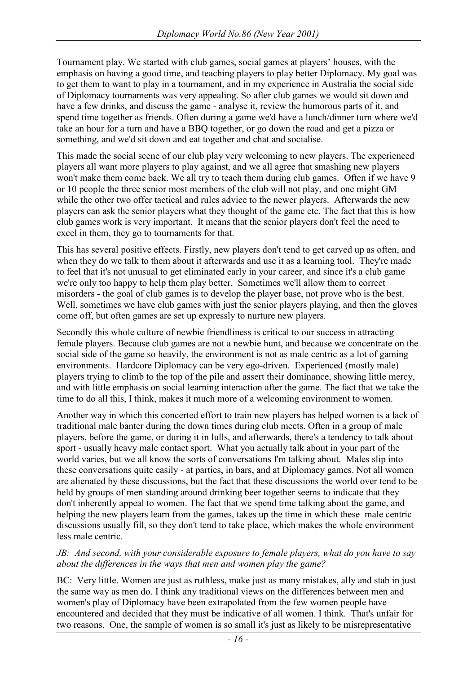Tournament play. We started with club games, social games at players' houses, with the emphasis on having a good time, and teaching players to play better Diplomacy. My goal was to get them to want to play in a tournament, and in my experience in Australia the social side of Diplomacy tournaments was very appealing. So after club games we would sit down and have a few drinks, and discuss the game - analyse it, review the humorous parts of it, and spend time together as friends. Often during a game we'd have a lunch/dinner turn where we'd take an hour for a turn and have a BBQ together, or go down the road and get a pizza or something, and we'd sit down and eat together and chat and socialise.

This made the social scene of our club play very welcoming to new players. The experienced players all want more players to play against, and we all agree that smashing new players won't make them come back. We all try to teach them during club games. Often if we have 9 or 10 people the three senior most members of the club will not play, and one might GM while the other two offer tactical and rules advice to the newer players. Afterwards the new players can ask the senior players what they thought of the game etc. The fact that this is how club games work is very important. It means that the senior players don't feel the need to excel in them, they go to tournaments for that.

This has several positive effects. Firstly, new players don't tend to get carved up as often, and when they do we talk to them about it afterwards and use it as a learning tool. They're made to feel that it's not unusual to get eliminated early in your career, and since it's a club game we're only too happy to help them play better. Sometimes we'll allow them to correct misorders - the goal of club games is to develop the player base, not prove who is the best. Well, sometimes we have club games with just the senior players playing, and then the gloves come off, but often games are set up expressly to nurture new players.

Secondly this whole culture of newbie friendliness is critical to our success in attracting female players. Because club games are not a newbie hunt, and because we concentrate on the social side of the game so heavily, the environment is not as male centric as a lot of gaming environments. Hardcore Diplomacy can be very ego-driven. Experienced (mostly male) players trying to climb to the top of the pile and assert their dominance, showing little mercy, and with little emphasis on social learning interaction after the game. The fact that we take the time to do all this, I think, makes it much more of a welcoming environment to women.

Another way in which this concerted effort to train new players has helped women is a lack of traditional male banter during the down times during club meets. Often in a group of male players, before the game, or during it in lulls, and afterwards, there's a tendency to talk about sport - usually heavy male contact sport. What you actually talk about in your part of the world varies, but we all know the sorts of conversations I'm talking about. Males slip into these conversations quite easily - at parties, in bars, and at Diplomacy games. Not all women are alienated by these discussions, but the fact that these discussions the world over tend to be held by groups of men standing around drinking beer together seems to indicate that they don't inherently appeal to women. The fact that we spend time talking about the game, and helping the new players learn from the games, takes up the time in which these male centric discussions usually fill, so they don't tend to take place, which makes the whole environment less male centric.

#### *JB: And second, with your considerable exposure to female players, what do you have to say about the differences in the ways that men and women play the game?*

BC: Very little. Women are just as ruthless, make just as many mistakes, ally and stab in just the same way as men do. I think any traditional views on the differences between men and women's play of Diplomacy have been extrapolated from the few women people have encountered and decided that they must be indicative of all women. I think. That's unfair for two reasons. One, the sample of women is so small it's just as likely to be misrepresentative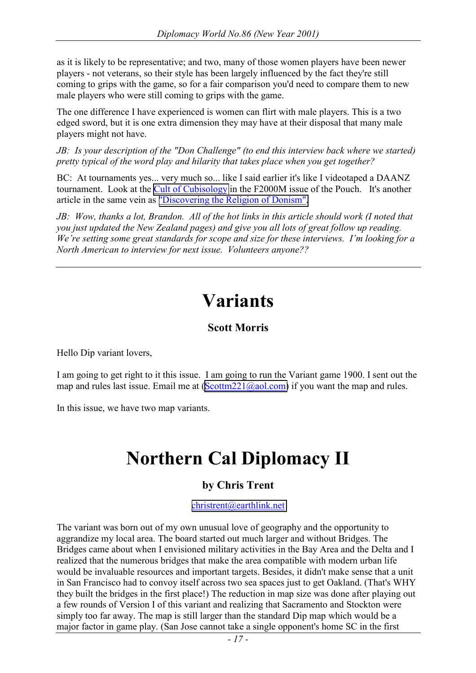as it is likely to be representative; and two, many of those women players have been newer players - not veterans, so their style has been largely influenced by the fact they're still coming to grips with the game, so for a fair comparison you'd need to compare them to new male players who were still coming to grips with the game.

The one difference I have experienced is women can flirt with male players. This is a two edged sword, but it is one extra dimension they may have at their disposal that many male players might not have.

*JB*: *Is your description of the "Don Challenge" (to end this interview back where we started) pretty typical of the word play and hilarity that takes place when you get together?* 

BC: At tournaments yes... very much so... like I said earlier it's like I videotaped a DAANZ tournament. Look at the [Cult of Cubisology](http://devel.diplom.org/DipPouch/Zine/F2000M/Clarke/sydney.html) in the F2000M issue of the Pouch. It's another article in the same vein as ["Discovering the Religion of Donism".](http://devel.diplom.org/DipPouch/Zine/W1997A/Clarke/Don.html)

*JB: Wow, thanks a lot, Brandon. All of the hot links in this article should work (I noted that you just updated the New Zealand pages) and give you all lots of great follow up reading. We're setting some great standards for scope and size for these interviews. I'm looking for a North American to interview for next issue. Volunteers anyone??* 

### **Variants**

### **Scott Morris**

Hello Dip variant lovers,

I am going to get right to it this issue. I am going to run the Variant game 1900. I sent out the map and rules last issue. Email me at ([Scottm221@aol.com\)](mailto:Scottm221@aol.com) if you want the map and rules.

In this issue, we have two map variants.

## **Northern Cal Diplomacy II**

### **by Chris Trent**

### [christrent@earthlink.net](mailto:christrent@earthlink.net)

The variant was born out of my own unusual love of geography and the opportunity to aggrandize my local area. The board started out much larger and without Bridges. The Bridges came about when I envisioned military activities in the Bay Area and the Delta and I realized that the numerous bridges that make the area compatible with modern urban life would be invaluable resources and important targets. Besides, it didn't make sense that a unit in San Francisco had to convoy itself across two sea spaces just to get Oakland. (That's WHY they built the bridges in the first place!) The reduction in map size was done after playing out a few rounds of Version I of this variant and realizing that Sacramento and Stockton were simply too far away. The map is still larger than the standard Dip map which would be a major factor in game play. (San Jose cannot take a single opponent's home SC in the first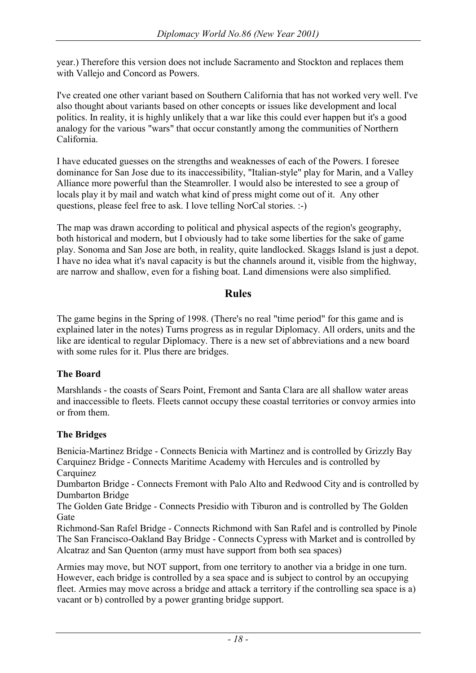year.) Therefore this version does not include Sacramento and Stockton and replaces them with Vallejo and Concord as Powers.

I've created one other variant based on Southern California that has not worked very well. I've also thought about variants based on other concepts or issues like development and local politics. In reality, it is highly unlikely that a war like this could ever happen but it's a good analogy for the various "wars" that occur constantly among the communities of Northern California.

I have educated guesses on the strengths and weaknesses of each of the Powers. I foresee dominance for San Jose due to its inaccessibility, "Italian-style" play for Marin, and a Valley Alliance more powerful than the Steamroller. I would also be interested to see a group of locals play it by mail and watch what kind of press might come out of it. Any other questions, please feel free to ask. I love telling NorCal stories. :-)

The map was drawn according to political and physical aspects of the region's geography, both historical and modern, but I obviously had to take some liberties for the sake of game play. Sonoma and San Jose are both, in reality, quite landlocked. Skaggs Island is just a depot. I have no idea what it's naval capacity is but the channels around it, visible from the highway, are narrow and shallow, even for a fishing boat. Land dimensions were also simplified.

### **Rules**

The game begins in the Spring of 1998. (There's no real "time period" for this game and is explained later in the notes) Turns progress as in regular Diplomacy. All orders, units and the like are identical to regular Diplomacy. There is a new set of abbreviations and a new board with some rules for it. Plus there are bridges.

### **The Board**

Marshlands - the coasts of Sears Point, Fremont and Santa Clara are all shallow water areas and inaccessible to fleets. Fleets cannot occupy these coastal territories or convoy armies into or from them.

### **The Bridges**

Benicia-Martinez Bridge - Connects Benicia with Martinez and is controlled by Grizzly Bay Carquinez Bridge - Connects Maritime Academy with Hercules and is controlled by Carquinez

Dumbarton Bridge - Connects Fremont with Palo Alto and Redwood City and is controlled by Dumbarton Bridge

The Golden Gate Bridge - Connects Presidio with Tiburon and is controlled by The Golden **Gate** 

Richmond-San Rafel Bridge - Connects Richmond with San Rafel and is controlled by Pinole The San Francisco-Oakland Bay Bridge - Connects Cypress with Market and is controlled by Alcatraz and San Quenton (army must have support from both sea spaces)

Armies may move, but NOT support, from one territory to another via a bridge in one turn. However, each bridge is controlled by a sea space and is subject to control by an occupying fleet. Armies may move across a bridge and attack a territory if the controlling sea space is a) vacant or b) controlled by a power granting bridge support.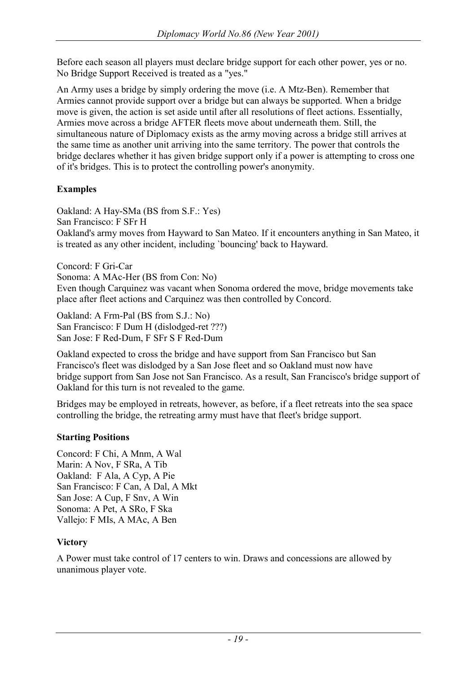Before each season all players must declare bridge support for each other power, yes or no. No Bridge Support Received is treated as a "yes."

An Army uses a bridge by simply ordering the move (i.e. A Mtz-Ben). Remember that Armies cannot provide support over a bridge but can always be supported. When a bridge move is given, the action is set aside until after all resolutions of fleet actions. Essentially, Armies move across a bridge AFTER fleets move about underneath them. Still, the simultaneous nature of Diplomacy exists as the army moving across a bridge still arrives at the same time as another unit arriving into the same territory. The power that controls the bridge declares whether it has given bridge support only if a power is attempting to cross one of it's bridges. This is to protect the controlling power's anonymity.

### **Examples**

Oakland: A Hay-SMa (BS from S.F.: Yes) San Francisco: F SFr H Oakland's army moves from Hayward to San Mateo. If it encounters anything in San Mateo, it is treated as any other incident, including `bouncing' back to Hayward.

Concord: F Gri-Car Sonoma: A MAc-Her (BS from Con: No) Even though Carquinez was vacant when Sonoma ordered the move, bridge movements take place after fleet actions and Carquinez was then controlled by Concord.

Oakland: A Frm-Pal (BS from S.J.: No) San Francisco: F Dum H (dislodged-ret ???) San Jose: F Red-Dum, F SFr S F Red-Dum

Oakland expected to cross the bridge and have support from San Francisco but San Francisco's fleet was dislodged by a San Jose fleet and so Oakland must now have bridge support from San Jose not San Francisco. As a result, San Francisco's bridge support of Oakland for this turn is not revealed to the game.

Bridges may be employed in retreats, however, as before, if a fleet retreats into the sea space controlling the bridge, the retreating army must have that fleet's bridge support.

### **Starting Positions**

Concord: F Chi, A Mnm, A Wal Marin: A Nov, F SRa, A Tib Oakland: F Ala, A Cyp, A Pie San Francisco: F Can, A Dal, A Mkt San Jose: A Cup, F Snv, A Win Sonoma: A Pet, A SRo, F Ska Vallejo: F MIs, A MAc, A Ben

### **Victory**

A Power must take control of 17 centers to win. Draws and concessions are allowed by unanimous player vote.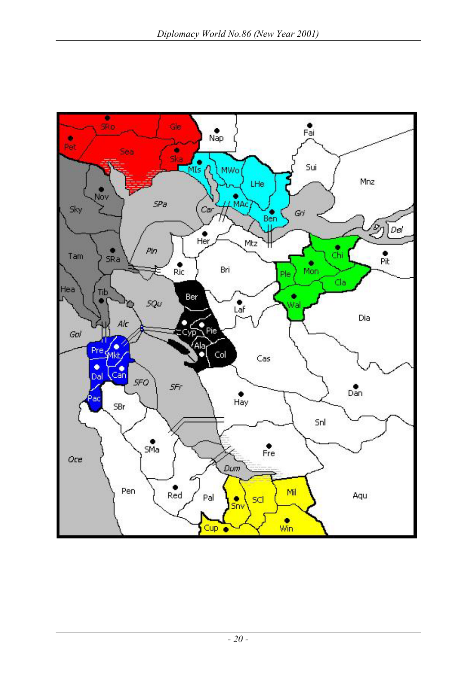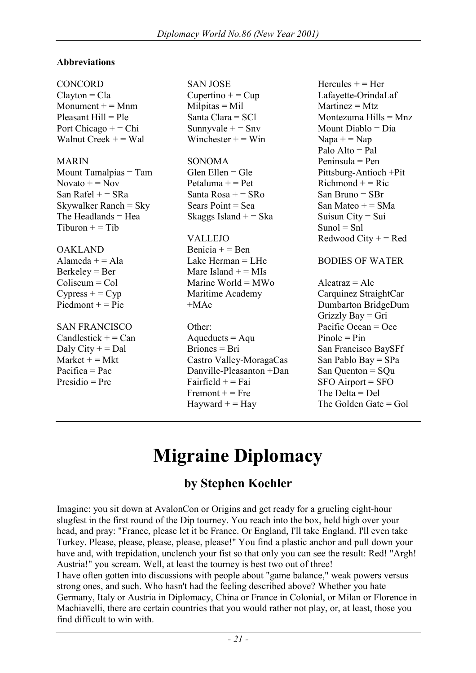### **Abbreviations**

**CONCORD**  $Clavton = Cla$  $Momentum + = Mnm$ Pleasant Hill = Ple Port Chicago  $+ =$  Chi Walnut Creek  $+ =$  Wal

### MARIN

Mount Tamalpias = Tam Novato  $+$  = Nov San Rafel  $+ = SRa$ Skywalker Ranch = Sky The Headlands = Hea  $Tiburon += Tib$ 

### OAKLAND

Alameda  $+$  = Ala  $Berkeley = Ber$  $Colis <sub>cum</sub> = Col$  $C$ vpress  $+ = C$ vp  $Piedmont += Pie$ 

### SAN FRANCISCO

Candlestick  $+$  = Can Daly City  $+ =$  Dal  $Market += Mkt$ Pacifica = Pac Presidio = Pre

SAN JOSE  $Cupertino += Cup$  $Milpitas = Mil$ Santa Clara = SCl Sunnyvale  $+$  = Sny Winchester  $+$  = Win

### SONOMA

 $Glen$  Ellen =  $Gle$ Petaluma  $+$  = Pet Santa Rosa  $+ =$  SRo Sears Point = Sea Skaggs Island  $+ =$  Ska

### VALLEJO

Benicia  $+$  = Ben Lake Herman = LHe Mare Island  $+=$  MIs Marine World  $=$  MWo Maritime Academy  $+MAc$ 

Other:  $A$ queducts =  $A$ qu Briones = Bri Castro Valley-MoragaCas Danville-Pleasanton +Dan  $Fairfield += Fai$  $Fremont += Fre$  $H$ ayward + =  $H$ ay

 $Hercules + = Her$ Lafayette-OrindaLaf  $Martinez = Mtz$ Montezuma Hills = Mnz Mount Diablo = Dia  $Napa + Nap$ Palo Alto = Pal Peninsula = Pen Pittsburg-Antioch +Pit  $Richard$  + = Ric San Bruno = SBr San Mateo  $+ = SMa$ Suisun City = Sui  $Sunol = Snl$  $Redwood City += Red$ 

### BODIES OF WATER

 $\text{Alcatraz} = \text{Alc}$ Carquinez StraightCar Dumbarton BridgeDum Grizzly Bay = Gri Pacific Ocean = Oce  $Pinole = Pin$ San Francisco BaySFf San Pablo Bay  $=$  SPa San Quenton = SQu SFO Airport = SFO The Delta  $=$  Del The Golden Gate = Gol

# **Migraine Diplomacy**

### **by Stephen Koehler**

Imagine: you sit down at AvalonCon or Origins and get ready for a grueling eight-hour slugfest in the first round of the Dip tourney. You reach into the box, held high over your head, and pray: "France, please let it be France. Or England, I'll take England. I'll even take Turkey. Please, please, please, please, please!" You find a plastic anchor and pull down your have and, with trepidation, unclench your fist so that only you can see the result: Red! "Argh! Austria!" you scream. Well, at least the tourney is best two out of three! I have often gotten into discussions with people about "game balance," weak powers versus strong ones, and such. Who hasn't had the feeling described above? Whether you hate

Germany, Italy or Austria in Diplomacy, China or France in Colonial, or Milan or Florence in Machiavelli, there are certain countries that you would rather not play, or, at least, those you find difficult to win with.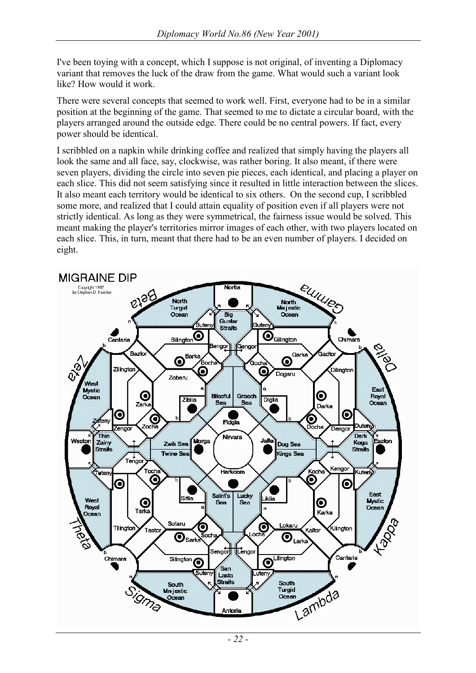I've been toying with a concept, which I suppose is not original, of inventing a Diplomacy variant that removes the luck of the draw from the game. What would such a variant look like? How would it work.

There were several concepts that seemed to work well. First, everyone had to be in a similar position at the beginning of the game. That seemed to me to dictate a circular board, with the players arranged around the outside edge. There could be no central powers. If fact, every power should be identical.

I scribbled on a napkin while drinking coffee and realized that simply having the players all look the same and all face, say, clockwise, was rather boring. It also meant, if there were seven players, dividing the circle into seven pie pieces, each identical, and placing a player on each slice. This did not seem satisfying since it resulted in little interaction between the slices. It also meant each territory would be identical to six others. On the second cup, I scribbled some more, and realized that I could attain equality of position even if all players were not strictly identical. As long as they were symmetrical, the fairness issue would be solved. This meant making the player's territories mirror images of each other, with two players located on each slice. This, in turn, meant that there had to be an even number of players. I decided on eight.

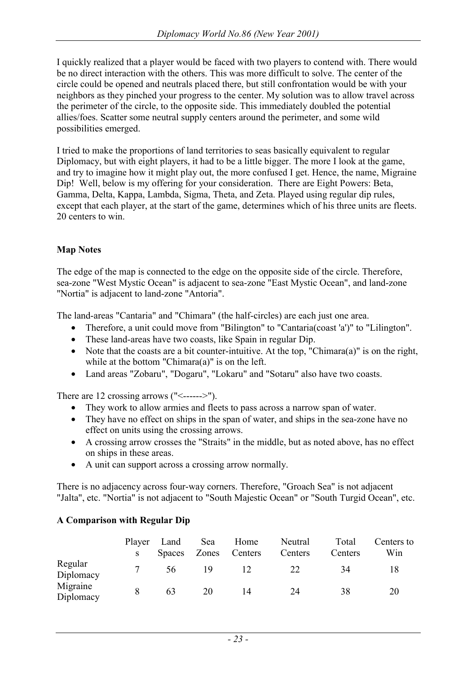I quickly realized that a player would be faced with two players to contend with. There would be no direct interaction with the others. This was more difficult to solve. The center of the circle could be opened and neutrals placed there, but still confrontation would be with your neighbors as they pinched your progress to the center. My solution was to allow travel across the perimeter of the circle, to the opposite side. This immediately doubled the potential allies/foes. Scatter some neutral supply centers around the perimeter, and some wild possibilities emerged.

I tried to make the proportions of land territories to seas basically equivalent to regular Diplomacy, but with eight players, it had to be a little bigger. The more I look at the game, and try to imagine how it might play out, the more confused I get. Hence, the name, Migraine Dip! Well, below is my offering for your consideration. There are Eight Powers: Beta, Gamma, Delta, Kappa, Lambda, Sigma, Theta, and Zeta. Played using regular dip rules, except that each player, at the start of the game, determines which of his three units are fleets. 20 centers to win.

### **Map Notes**

The edge of the map is connected to the edge on the opposite side of the circle. Therefore, sea-zone "West Mystic Ocean" is adjacent to sea-zone "East Mystic Ocean", and land-zone "Nortia" is adjacent to land-zone "Antoria".

The land-areas "Cantaria" and "Chimara" (the half-circles) are each just one area.

- Therefore, a unit could move from "Bilington" to "Cantaria(coast 'a')" to "Lilington".
- These land-areas have two coasts, like Spain in regular Dip.
- Note that the coasts are a bit counter-intuitive. At the top, "Chimara(a)" is on the right, while at the bottom "Chimara(a)" is on the left.
- Land areas "Zobaru", "Dogaru", "Lokaru" and "Sotaru" also have two coasts.

There are 12 crossing arrows ("<------>").

- They work to allow armies and fleets to pass across a narrow span of water.
- They have no effect on ships in the span of water, and ships in the sea-zone have no effect on units using the crossing arrows.
- A crossing arrow crosses the "Straits" in the middle, but as noted above, has no effect on ships in these areas.
- A unit can support across a crossing arrow normally.

There is no adjacency across four-way corners. Therefore, "Groach Sea" is not adjacent "Jalta", etc. "Nortia" is not adjacent to "South Majestic Ocean" or "South Turgid Ocean", etc.

### **A Comparison with Regular Dip**

|                       | Player<br>S. | Land<br><b>Spaces</b> | Sea<br>Zones | Home<br>Centers | Neutral<br>Centers | Total<br>Centers | Centers to<br>Win |
|-----------------------|--------------|-----------------------|--------------|-----------------|--------------------|------------------|-------------------|
| Regular<br>Diplomacy  |              | 56                    | 19           | 12              | 22                 | 34               |                   |
| Migraine<br>Diplomacy | 8            | 63                    | 20           | 14              | 24                 | 38               | 20                |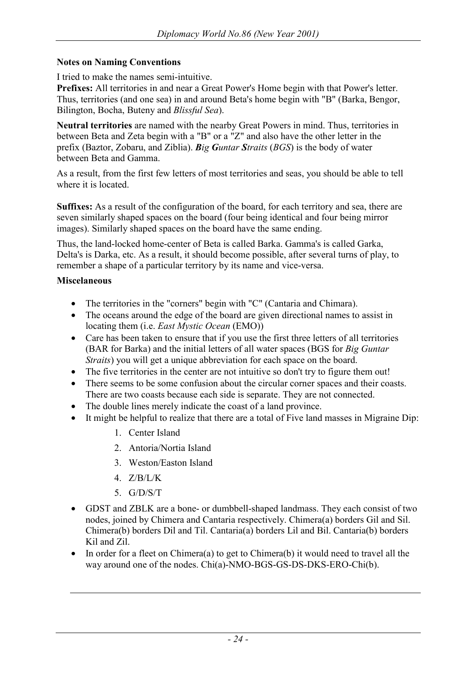### **Notes on Naming Conventions**

I tried to make the names semi-intuitive.

**Prefixes:** All territories in and near a Great Power's Home begin with that Power's letter. Thus, territories (and one sea) in and around Beta's home begin with "B" (Barka, Bengor, Bilington, Bocha, Buteny and *Blissful Sea*).

**Neutral territories** are named with the nearby Great Powers in mind. Thus, territories in between Beta and Zeta begin with a "B" or a "Z" and also have the other letter in the prefix (Baztor, Zobaru, and Ziblia). *Big Guntar Straits* (*BGS*) is the body of water between Beta and Gamma.

As a result, from the first few letters of most territories and seas, you should be able to tell where it is located.

**Suffixes:** As a result of the configuration of the board, for each territory and sea, there are seven similarly shaped spaces on the board (four being identical and four being mirror images). Similarly shaped spaces on the board have the same ending.

Thus, the land-locked home-center of Beta is called Barka. Gamma's is called Garka, Delta's is Darka, etc. As a result, it should become possible, after several turns of play, to remember a shape of a particular territory by its name and vice-versa.

### **Miscelaneous**

- The territories in the "corners" begin with "C" (Cantaria and Chimara).
- The oceans around the edge of the board are given directional names to assist in locating them (i.e. *East Mystic Ocean* (EMO))
- Care has been taken to ensure that if you use the first three letters of all territories (BAR for Barka) and the initial letters of all water spaces (BGS for *Big Guntar Straits*) you will get a unique abbreviation for each space on the board.
- The five territories in the center are not intuitive so don't try to figure them out!
- There seems to be some confusion about the circular corner spaces and their coasts. There are two coasts because each side is separate. They are not connected.
- The double lines merely indicate the coast of a land province.
- It might be helpful to realize that there are a total of Five land masses in Migraine Dip:
	- 1. Center Island
	- 2. Antoria/Nortia Island
	- 3. Weston/Easton Island
	- 4. Z/B/L/K
	- 5. G/D/S/T
- GDST and ZBLK are a bone- or dumbbell-shaped landmass. They each consist of two nodes, joined by Chimera and Cantaria respectively. Chimera(a) borders Gil and Sil. Chimera(b) borders Dil and Til. Cantaria(a) borders Lil and Bil. Cantaria(b) borders Kil and Zil.
- In order for a fleet on Chimera(a) to get to Chimera(b) it would need to travel all the way around one of the nodes. Chi(a)-NMO-BGS-GS-DS-DKS-ERO-Chi(b).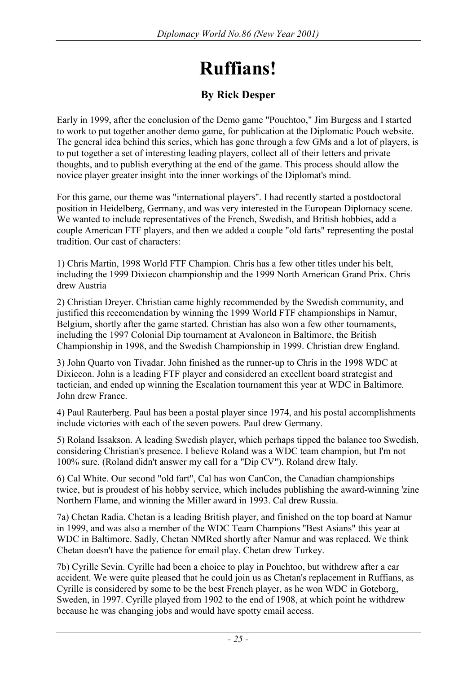## **Ruffians!**

### **By Rick Desper**

Early in 1999, after the conclusion of the Demo game "Pouchtoo," Jim Burgess and I started to work to put together another demo game, for publication at the Diplomatic Pouch website. The general idea behind this series, which has gone through a few GMs and a lot of players, is to put together a set of interesting leading players, collect all of their letters and private thoughts, and to publish everything at the end of the game. This process should allow the novice player greater insight into the inner workings of the Diplomat's mind.

For this game, our theme was "international players". I had recently started a postdoctoral position in Heidelberg, Germany, and was very interested in the European Diplomacy scene. We wanted to include representatives of the French, Swedish, and British hobbies, add a couple American FTF players, and then we added a couple "old farts" representing the postal tradition. Our cast of characters:

1) Chris Martin, 1998 World FTF Champion. Chris has a few other titles under his belt, including the 1999 Dixiecon championship and the 1999 North American Grand Prix. Chris drew Austria

2) Christian Dreyer. Christian came highly recommended by the Swedish community, and justified this reccomendation by winning the 1999 World FTF championships in Namur, Belgium, shortly after the game started. Christian has also won a few other tournaments, including the 1997 Colonial Dip tournament at Avaloncon in Baltimore, the British Championship in 1998, and the Swedish Championship in 1999. Christian drew England.

3) John Quarto von Tivadar. John finished as the runner-up to Chris in the 1998 WDC at Dixiecon. John is a leading FTF player and considered an excellent board strategist and tactician, and ended up winning the Escalation tournament this year at WDC in Baltimore. John drew France.

4) Paul Rauterberg. Paul has been a postal player since 1974, and his postal accomplishments include victories with each of the seven powers. Paul drew Germany.

5) Roland Issakson. A leading Swedish player, which perhaps tipped the balance too Swedish, considering Christian's presence. I believe Roland was a WDC team champion, but I'm not 100% sure. (Roland didn't answer my call for a "Dip CV"). Roland drew Italy.

6) Cal White. Our second "old fart", Cal has won CanCon, the Canadian championships twice, but is proudest of his hobby service, which includes publishing the award-winning 'zine Northern Flame, and winning the Miller award in 1993. Cal drew Russia.

7a) Chetan Radia. Chetan is a leading British player, and finished on the top board at Namur in 1999, and was also a member of the WDC Team Champions "Best Asians" this year at WDC in Baltimore. Sadly, Chetan NMRed shortly after Namur and was replaced. We think Chetan doesn't have the patience for email play. Chetan drew Turkey.

7b) Cyrille Sevin. Cyrille had been a choice to play in Pouchtoo, but withdrew after a car accident. We were quite pleased that he could join us as Chetan's replacement in Ruffians, as Cyrille is considered by some to be the best French player, as he won WDC in Goteborg, Sweden, in 1997. Cyrille played from 1902 to the end of 1908, at which point he withdrew because he was changing jobs and would have spotty email access.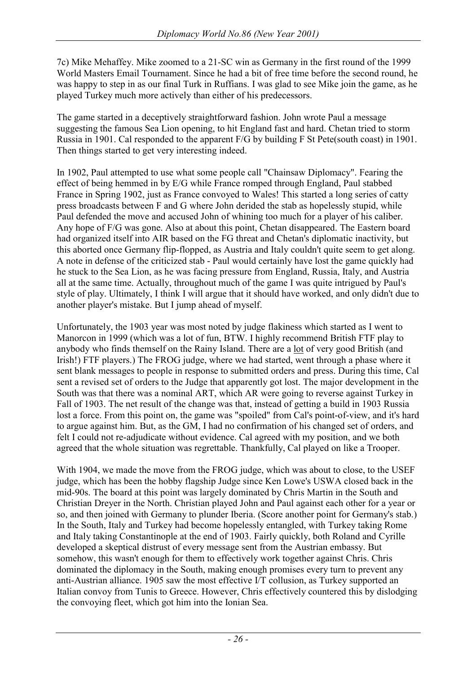7c) Mike Mehaffey. Mike zoomed to a 21-SC win as Germany in the first round of the 1999 World Masters Email Tournament. Since he had a bit of free time before the second round, he was happy to step in as our final Turk in Ruffians. I was glad to see Mike join the game, as he played Turkey much more actively than either of his predecessors.

The game started in a deceptively straightforward fashion. John wrote Paul a message suggesting the famous Sea Lion opening, to hit England fast and hard. Chetan tried to storm Russia in 1901. Cal responded to the apparent F/G by building F St Pete(south coast) in 1901. Then things started to get very interesting indeed.

In 1902, Paul attempted to use what some people call "Chainsaw Diplomacy". Fearing the effect of being hemmed in by E/G while France romped through England, Paul stabbed France in Spring 1902, just as France convoyed to Wales! This started a long series of catty press broadcasts between F and G where John derided the stab as hopelessly stupid, while Paul defended the move and accused John of whining too much for a player of his caliber. Any hope of F/G was gone. Also at about this point, Chetan disappeared. The Eastern board had organized itself into AIR based on the FG threat and Chetan's diplomatic inactivity, but this aborted once Germany flip-flopped, as Austria and Italy couldn't quite seem to get along. A note in defense of the criticized stab - Paul would certainly have lost the game quickly had he stuck to the Sea Lion, as he was facing pressure from England, Russia, Italy, and Austria all at the same time. Actually, throughout much of the game I was quite intrigued by Paul's style of play. Ultimately, I think I will argue that it should have worked, and only didn't due to another player's mistake. But I jump ahead of myself.

Unfortunately, the 1903 year was most noted by judge flakiness which started as I went to Manorcon in 1999 (which was a lot of fun, BTW. I highly recommend British FTF play to anybody who finds themself on the Rainy Island. There are a lot of very good British (and Irish!) FTF players.) The FROG judge, where we had started, went through a phase where it sent blank messages to people in response to submitted orders and press. During this time, Cal sent a revised set of orders to the Judge that apparently got lost. The major development in the South was that there was a nominal ART, which AR were going to reverse against Turkey in Fall of 1903. The net result of the change was that, instead of getting a build in 1903 Russia lost a force. From this point on, the game was "spoiled" from Cal's point-of-view, and it's hard to argue against him. But, as the GM, I had no confirmation of his changed set of orders, and felt I could not re-adjudicate without evidence. Cal agreed with my position, and we both agreed that the whole situation was regrettable. Thankfully, Cal played on like a Trooper.

With 1904, we made the move from the FROG judge, which was about to close, to the USEF judge, which has been the hobby flagship Judge since Ken Lowe's USWA closed back in the mid-90s. The board at this point was largely dominated by Chris Martin in the South and Christian Dreyer in the North. Christian played John and Paul against each other for a year or so, and then joined with Germany to plunder Iberia. (Score another point for Germany's stab.) In the South, Italy and Turkey had become hopelessly entangled, with Turkey taking Rome and Italy taking Constantinople at the end of 1903. Fairly quickly, both Roland and Cyrille developed a skeptical distrust of every message sent from the Austrian embassy. But somehow, this wasn't enough for them to effectively work together against Chris. Chris dominated the diplomacy in the South, making enough promises every turn to prevent any anti-Austrian alliance. 1905 saw the most effective I/T collusion, as Turkey supported an Italian convoy from Tunis to Greece. However, Chris effectively countered this by dislodging the convoying fleet, which got him into the Ionian Sea.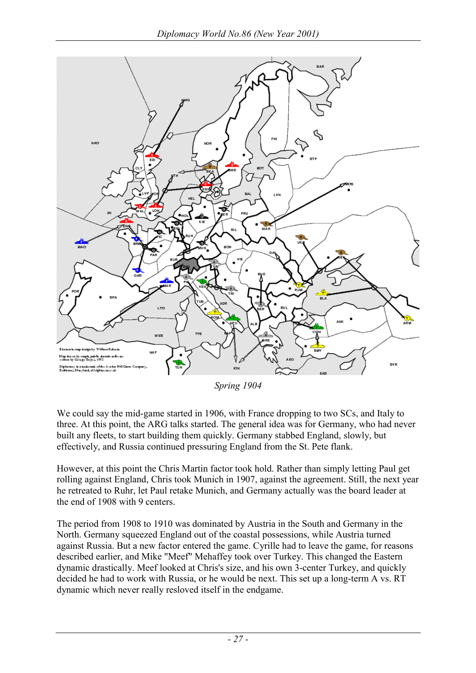

*Spring 1904* 

We could say the mid-game started in 1906, with France dropping to two SCs, and Italy to three. At this point, the ARG talks started. The general idea was for Germany, who had never built any fleets, to start building them quickly. Germany stabbed England, slowly, but effectively, and Russia continued pressuring England from the St. Pete flank.

However, at this point the Chris Martin factor took hold. Rather than simply letting Paul get rolling against England, Chris took Munich in 1907, against the agreement. Still, the next year he retreated to Ruhr, let Paul retake Munich, and Germany actually was the board leader at the end of 1908 with 9 centers.

The period from 1908 to 1910 was dominated by Austria in the South and Germany in the North. Germany squeezed England out of the coastal possessions, while Austria turned against Russia. But a new factor entered the game. Cyrille had to leave the game, for reasons described earlier, and Mike "Meef" Mehaffey took over Turkey. This changed the Eastern dynamic drastically. Meef looked at Chris's size, and his own 3-center Turkey, and quickly decided he had to work with Russia, or he would be next. This set up a long-term A vs. RT dynamic which never really resloved itself in the endgame.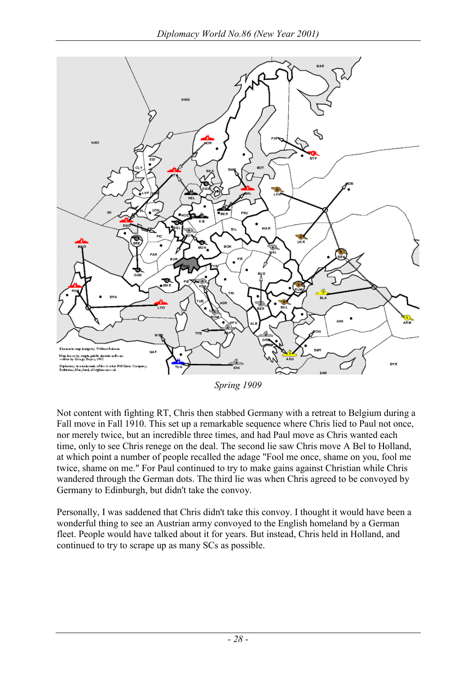

*Spring 1909* 

Not content with fighting RT, Chris then stabbed Germany with a retreat to Belgium during a Fall move in Fall 1910. This set up a remarkable sequence where Chris lied to Paul not once, nor merely twice, but an incredible three times, and had Paul move as Chris wanted each time, only to see Chris renege on the deal. The second lie saw Chris move A Bel to Holland, at which point a number of people recalled the adage "Fool me once, shame on you, fool me twice, shame on me." For Paul continued to try to make gains against Christian while Chris wandered through the German dots. The third lie was when Chris agreed to be convoyed by Germany to Edinburgh, but didn't take the convoy.

Personally, I was saddened that Chris didn't take this convoy. I thought it would have been a wonderful thing to see an Austrian army convoyed to the English homeland by a German fleet. People would have talked about it for years. But instead, Chris held in Holland, and continued to try to scrape up as many SCs as possible.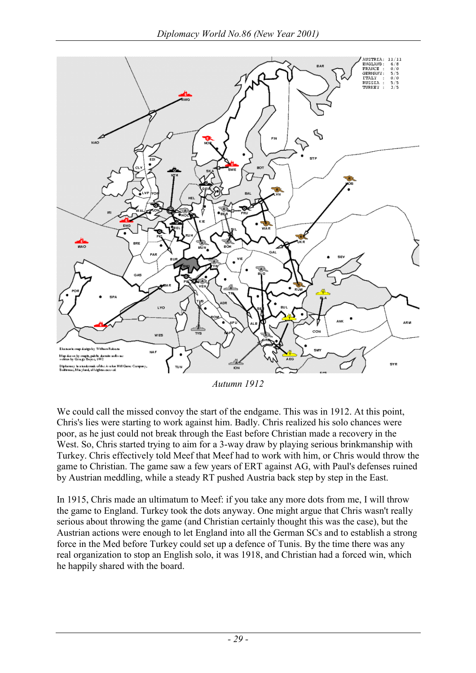

*Autumn 1912* 

We could call the missed convoy the start of the endgame. This was in 1912. At this point, Chris's lies were starting to work against him. Badly. Chris realized his solo chances were poor, as he just could not break through the East before Christian made a recovery in the West. So, Chris started trying to aim for a 3-way draw by playing serious brinkmanship with Turkey. Chris effectively told Meef that Meef had to work with him, or Chris would throw the game to Christian. The game saw a few years of ERT against AG, with Paul's defenses ruined by Austrian meddling, while a steady RT pushed Austria back step by step in the East.

In 1915, Chris made an ultimatum to Meef: if you take any more dots from me, I will throw the game to England. Turkey took the dots anyway. One might argue that Chris wasn't really serious about throwing the game (and Christian certainly thought this was the case), but the Austrian actions were enough to let England into all the German SCs and to establish a strong force in the Med before Turkey could set up a defence of Tunis. By the time there was any real organization to stop an English solo, it was 1918, and Christian had a forced win, which he happily shared with the board.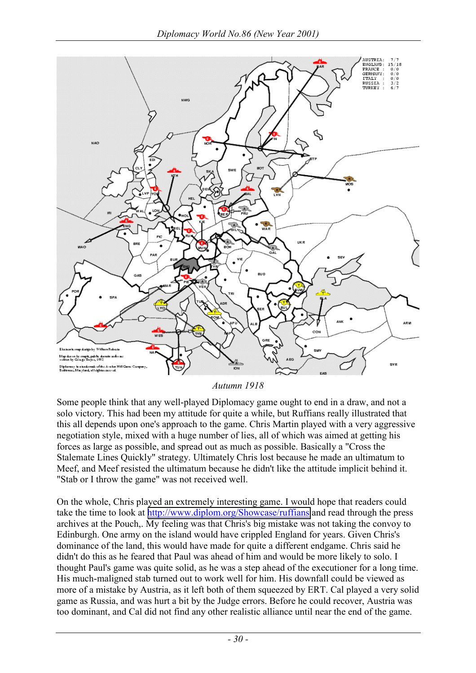

*Autumn 1918* 

Some people think that any well-played Diplomacy game ought to end in a draw, and not a solo victory. This had been my attitude for quite a while, but Ruffians really illustrated that this all depends upon one's approach to the game. Chris Martin played with a very aggressive negotiation style, mixed with a huge number of lies, all of which was aimed at getting his forces as large as possible, and spread out as much as possible. Basically a "Cross the Stalemate Lines Quickly" strategy. Ultimately Chris lost because he made an ultimatum to Meef, and Meef resisted the ultimatum because he didn't like the attitude implicit behind it. "Stab or I throw the game" was not received well.

On the whole, Chris played an extremely interesting game. I would hope that readers could take the time to look at <http://www.diplom.org/Showcase/ruffians>and read through the press archives at the Pouch,. My feeling was that Chris's big mistake was not taking the convoy to Edinburgh. One army on the island would have crippled England for years. Given Chris's dominance of the land, this would have made for quite a different endgame. Chris said he didn't do this as he feared that Paul was ahead of him and would be more likely to solo. I thought Paul's game was quite solid, as he was a step ahead of the executioner for a long time. His much-maligned stab turned out to work well for him. His downfall could be viewed as more of a mistake by Austria, as it left both of them squeezed by ERT. Cal played a very solid game as Russia, and was hurt a bit by the Judge errors. Before he could recover, Austria was too dominant, and Cal did not find any other realistic alliance until near the end of the game.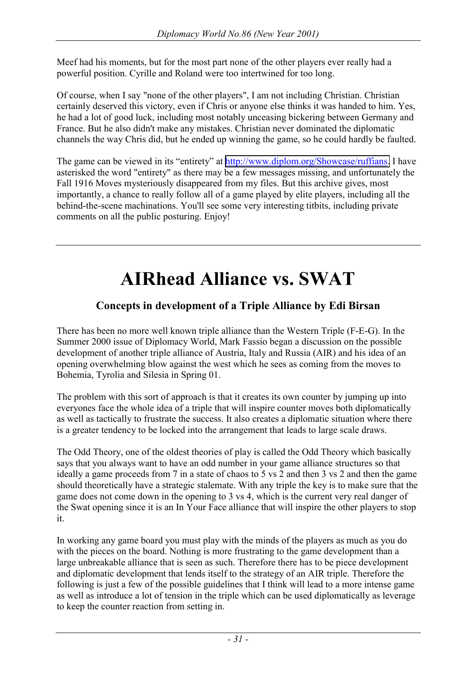Meef had his moments, but for the most part none of the other players ever really had a powerful position. Cyrille and Roland were too intertwined for too long.

Of course, when I say "none of the other players", I am not including Christian. Christian certainly deserved this victory, even if Chris or anyone else thinks it was handed to him. Yes, he had a lot of good luck, including most notably unceasing bickering between Germany and France. But he also didn't make any mistakes. Christian never dominated the diplomatic channels the way Chris did, but he ended up winning the game, so he could hardly be faulted.

The game can be viewed in its "entirety" at [http://www.diplom.org/Showcase/ruffians.](http://www.diplom.org/Showcase/ruffians) I have asterisked the word "entirety" as there may be a few messages missing, and unfortunately the Fall 1916 Moves mysteriously disappeared from my files. But this archive gives, most importantly, a chance to really follow all of a game played by elite players, including all the behind-the-scene machinations. You'll see some very interesting titbits, including private comments on all the public posturing. Enjoy!

# **AIRhead Alliance vs. SWAT**

### **Concepts in development of a Triple Alliance by Edi Birsan**

There has been no more well known triple alliance than the Western Triple (F-E-G). In the Summer 2000 issue of Diplomacy World, Mark Fassio began a discussion on the possible development of another triple alliance of Austria, Italy and Russia (AIR) and his idea of an opening overwhelming blow against the west which he sees as coming from the moves to Bohemia, Tyrolia and Silesia in Spring 01.

The problem with this sort of approach is that it creates its own counter by jumping up into everyones face the whole idea of a triple that will inspire counter moves both diplomatically as well as tactically to frustrate the success. It also creates a diplomatic situation where there is a greater tendency to be locked into the arrangement that leads to large scale draws.

The Odd Theory, one of the oldest theories of play is called the Odd Theory which basically says that you always want to have an odd number in your game alliance structures so that ideally a game proceeds from 7 in a state of chaos to 5 vs 2 and then 3 vs 2 and then the game should theoretically have a strategic stalemate. With any triple the key is to make sure that the game does not come down in the opening to 3 vs 4, which is the current very real danger of the Swat opening since it is an In Your Face alliance that will inspire the other players to stop it.

In working any game board you must play with the minds of the players as much as you do with the pieces on the board. Nothing is more frustrating to the game development than a large unbreakable alliance that is seen as such. Therefore there has to be piece development and diplomatic development that lends itself to the strategy of an AIR triple. Therefore the following is just a few of the possible guidelines that I think will lead to a more intense game as well as introduce a lot of tension in the triple which can be used diplomatically as leverage to keep the counter reaction from setting in.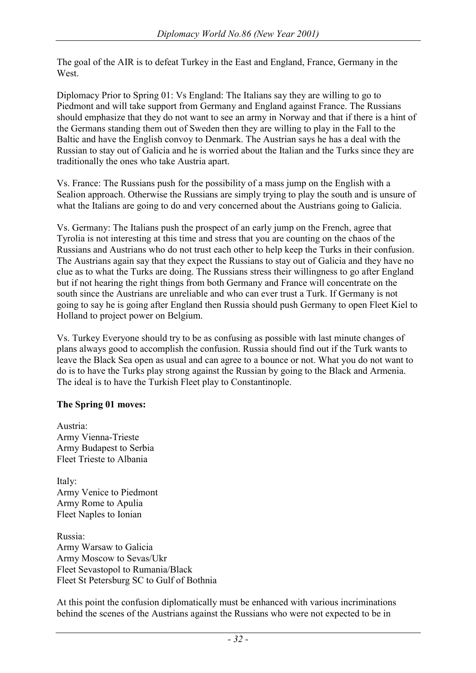The goal of the AIR is to defeat Turkey in the East and England, France, Germany in the **West**.

Diplomacy Prior to Spring 01: Vs England: The Italians say they are willing to go to Piedmont and will take support from Germany and England against France. The Russians should emphasize that they do not want to see an army in Norway and that if there is a hint of the Germans standing them out of Sweden then they are willing to play in the Fall to the Baltic and have the English convoy to Denmark. The Austrian says he has a deal with the Russian to stay out of Galicia and he is worried about the Italian and the Turks since they are traditionally the ones who take Austria apart.

Vs. France: The Russians push for the possibility of a mass jump on the English with a Sealion approach. Otherwise the Russians are simply trying to play the south and is unsure of what the Italians are going to do and very concerned about the Austrians going to Galicia.

Vs. Germany: The Italians push the prospect of an early jump on the French, agree that Tyrolia is not interesting at this time and stress that you are counting on the chaos of the Russians and Austrians who do not trust each other to help keep the Turks in their confusion. The Austrians again say that they expect the Russians to stay out of Galicia and they have no clue as to what the Turks are doing. The Russians stress their willingness to go after England but if not hearing the right things from both Germany and France will concentrate on the south since the Austrians are unreliable and who can ever trust a Turk. If Germany is not going to say he is going after England then Russia should push Germany to open Fleet Kiel to Holland to project power on Belgium.

Vs. Turkey Everyone should try to be as confusing as possible with last minute changes of plans always good to accomplish the confusion. Russia should find out if the Turk wants to leave the Black Sea open as usual and can agree to a bounce or not. What you do not want to do is to have the Turks play strong against the Russian by going to the Black and Armenia. The ideal is to have the Turkish Fleet play to Constantinople.

### **The Spring 01 moves:**

Austria: Army Vienna-Trieste Army Budapest to Serbia Fleet Trieste to Albania

Italy: Army Venice to Piedmont Army Rome to Apulia Fleet Naples to Ionian

Russia: Army Warsaw to Galicia Army Moscow to Sevas/Ukr Fleet Sevastopol to Rumania/Black Fleet St Petersburg SC to Gulf of Bothnia

At this point the confusion diplomatically must be enhanced with various incriminations behind the scenes of the Austrians against the Russians who were not expected to be in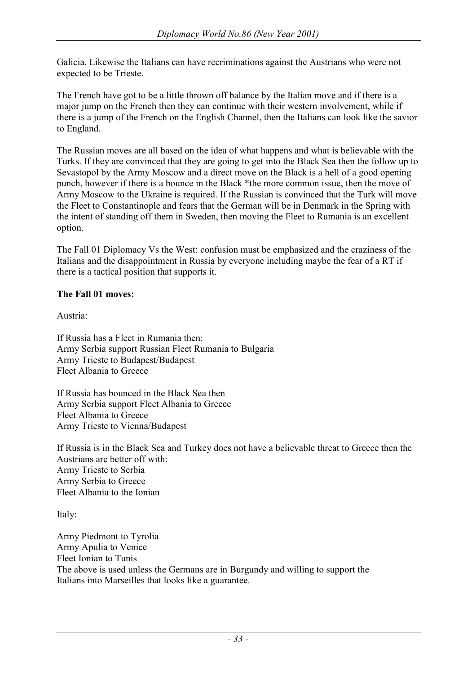Galicia. Likewise the Italians can have recriminations against the Austrians who were not expected to be Trieste.

The French have got to be a little thrown off balance by the Italian move and if there is a major jump on the French then they can continue with their western involvement, while if there is a jump of the French on the English Channel, then the Italians can look like the savior to England.

The Russian moves are all based on the idea of what happens and what is believable with the Turks. If they are convinced that they are going to get into the Black Sea then the follow up to Sevastopol by the Army Moscow and a direct move on the Black is a hell of a good opening punch, however if there is a bounce in the Black \*the more common issue, then the move of Army Moscow to the Ukraine is required. If the Russian is convinced that the Turk will move the Fleet to Constantinople and fears that the German will be in Denmark in the Spring with the intent of standing off them in Sweden, then moving the Fleet to Rumania is an excellent option.

The Fall 01 Diplomacy Vs the West: confusion must be emphasized and the craziness of the Italians and the disappointment in Russia by everyone including maybe the fear of a RT if there is a tactical position that supports it.

### **The Fall 01 moves:**

Austria:

If Russia has a Fleet in Rumania then: Army Serbia support Russian Fleet Rumania to Bulgaria Army Trieste to Budapest/Budapest Fleet Albania to Greece

If Russia has bounced in the Black Sea then Army Serbia support Fleet Albania to Greece Fleet Albania to Greece Army Trieste to Vienna/Budapest

If Russia is in the Black Sea and Turkey does not have a believable threat to Greece then the Austrians are better off with: Army Trieste to Serbia Army Serbia to Greece Fleet Albania to the Ionian

Italy:

Army Piedmont to Tyrolia Army Apulia to Venice Fleet Ionian to Tunis The above is used unless the Germans are in Burgundy and willing to support the Italians into Marseilles that looks like a guarantee.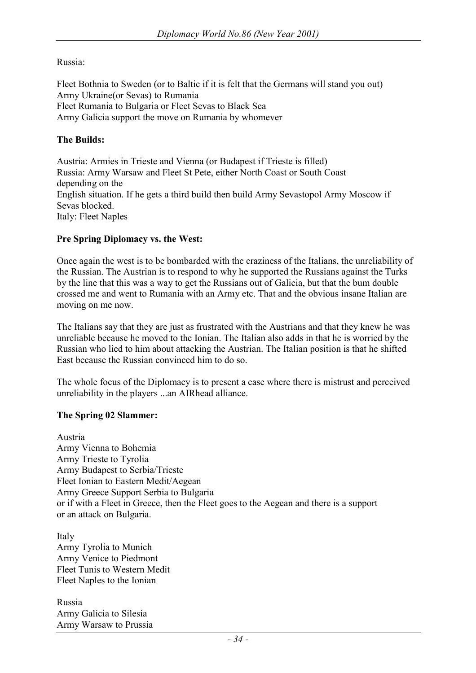### Russia:

Fleet Bothnia to Sweden (or to Baltic if it is felt that the Germans will stand you out) Army Ukraine(or Sevas) to Rumania Fleet Rumania to Bulgaria or Fleet Sevas to Black Sea Army Galicia support the move on Rumania by whomever

### **The Builds:**

Austria: Armies in Trieste and Vienna (or Budapest if Trieste is filled) Russia: Army Warsaw and Fleet St Pete, either North Coast or South Coast depending on the English situation. If he gets a third build then build Army Sevastopol Army Moscow if Sevas blocked. Italy: Fleet Naples

### **Pre Spring Diplomacy vs. the West:**

Once again the west is to be bombarded with the craziness of the Italians, the unreliability of the Russian. The Austrian is to respond to why he supported the Russians against the Turks by the line that this was a way to get the Russians out of Galicia, but that the bum double crossed me and went to Rumania with an Army etc. That and the obvious insane Italian are moving on me now.

The Italians say that they are just as frustrated with the Austrians and that they knew he was unreliable because he moved to the Ionian. The Italian also adds in that he is worried by the Russian who lied to him about attacking the Austrian. The Italian position is that he shifted East because the Russian convinced him to do so.

The whole focus of the Diplomacy is to present a case where there is mistrust and perceived unreliability in the players ...an AIRhead alliance.

### **The Spring 02 Slammer:**

Austria Army Vienna to Bohemia Army Trieste to Tyrolia Army Budapest to Serbia/Trieste Fleet Ionian to Eastern Medit/Aegean Army Greece Support Serbia to Bulgaria or if with a Fleet in Greece, then the Fleet goes to the Aegean and there is a support or an attack on Bulgaria.

Italy Army Tyrolia to Munich Army Venice to Piedmont Fleet Tunis to Western Medit Fleet Naples to the Ionian

Russia Army Galicia to Silesia Army Warsaw to Prussia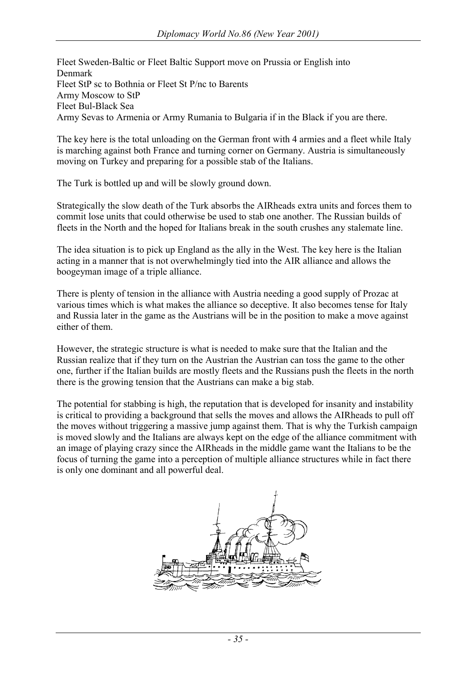Fleet Sweden-Baltic or Fleet Baltic Support move on Prussia or English into Denmark Fleet StP sc to Bothnia or Fleet St P/nc to Barents Army Moscow to StP Fleet Bul-Black Sea Army Sevas to Armenia or Army Rumania to Bulgaria if in the Black if you are there.

The key here is the total unloading on the German front with 4 armies and a fleet while Italy is marching against both France and turning corner on Germany. Austria is simultaneously moving on Turkey and preparing for a possible stab of the Italians.

The Turk is bottled up and will be slowly ground down.

Strategically the slow death of the Turk absorbs the AIRheads extra units and forces them to commit lose units that could otherwise be used to stab one another. The Russian builds of fleets in the North and the hoped for Italians break in the south crushes any stalemate line.

The idea situation is to pick up England as the ally in the West. The key here is the Italian acting in a manner that is not overwhelmingly tied into the AIR alliance and allows the boogeyman image of a triple alliance.

There is plenty of tension in the alliance with Austria needing a good supply of Prozac at various times which is what makes the alliance so deceptive. It also becomes tense for Italy and Russia later in the game as the Austrians will be in the position to make a move against either of them.

However, the strategic structure is what is needed to make sure that the Italian and the Russian realize that if they turn on the Austrian the Austrian can toss the game to the other one, further if the Italian builds are mostly fleets and the Russians push the fleets in the north there is the growing tension that the Austrians can make a big stab.

The potential for stabbing is high, the reputation that is developed for insanity and instability is critical to providing a background that sells the moves and allows the AIRheads to pull off the moves without triggering a massive jump against them. That is why the Turkish campaign is moved slowly and the Italians are always kept on the edge of the alliance commitment with an image of playing crazy since the AIRheads in the middle game want the Italians to be the focus of turning the game into a perception of multiple alliance structures while in fact there is only one dominant and all powerful deal.

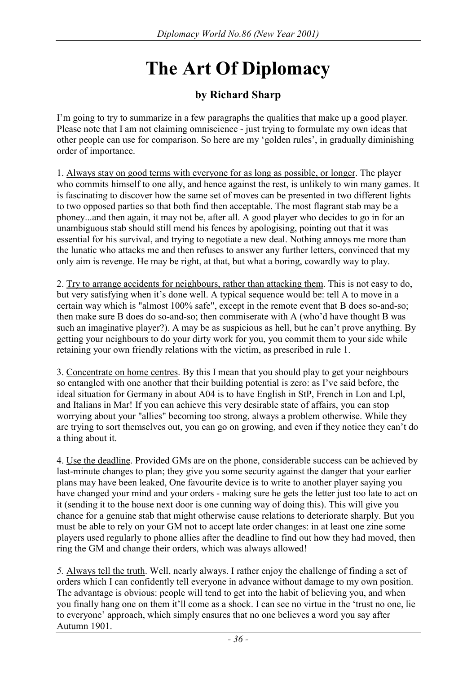# **The Art Of Diplomacy**

### **by Richard Sharp**

I'm going to try to summarize in a few paragraphs the qualities that make up a good player. Please note that I am not claiming omniscience - just trying to formulate my own ideas that other people can use for comparison. So here are my 'golden rules', in gradually diminishing order of importance.

1. Always stay on good terms with everyone for as long as possible, or longer. The player who commits himself to one ally, and hence against the rest, is unlikely to win many games. It is fascinating to discover how the same set of moves can be presented in two different lights to two opposed parties so that both find then acceptable. The most flagrant stab may be a phoney...and then again, it may not be, after all. A good player who decides to go in for an unambiguous stab should still mend his fences by apologising, pointing out that it was essential for his survival, and trying to negotiate a new deal. Nothing annoys me more than the lunatic who attacks me and then refuses to answer any further letters, convinced that my only aim is revenge. He may be right, at that, but what a boring, cowardly way to play.

2. Try to arrange accidents for neighbours, rather than attacking them. This is not easy to do, but very satisfying when it's done well. A typical sequence would be: tell A to move in a certain way which is "almost 100% safe", except in the remote event that B does so-and-so; then make sure B does do so-and-so; then commiserate with A (who'd have thought B was such an imaginative player?). A may be as suspicious as hell, but he can't prove anything. By getting your neighbours to do your dirty work for you, you commit them to your side while retaining your own friendly relations with the victim, as prescribed in rule 1.

3. Concentrate on home centres. By this I mean that you should play to get your neighbours so entangled with one another that their building potential is zero: as I've said before, the ideal situation for Germany in about A04 is to have English in StP, French in Lon and Lpl, and Italians in Mar! If you can achieve this very desirable state of affairs, you can stop worrying about your "allies" becoming too strong, always a problem otherwise. While they are trying to sort themselves out, you can go on growing, and even if they notice they can't do a thing about it.

4. Use the deadline. Provided GMs are on the phone, considerable success can be achieved by last-minute changes to plan; they give you some security against the danger that your earlier plans may have been leaked, One favourite device is to write to another player saying you have changed your mind and your orders - making sure he gets the letter just too late to act on it (sending it to the house next door is one cunning way of doing this). This will give you chance for a genuine stab that might otherwise cause relations to deteriorate sharply. But you must be able to rely on your GM not to accept late order changes: in at least one zine some players used regularly to phone allies after the deadline to find out how they had moved, then ring the GM and change their orders, which was always allowed!

*5.* Always tell the truth. Well, nearly always. I rather enjoy the challenge of finding a set of orders which I can confidently tell everyone in advance without damage to my own position. The advantage is obvious: people will tend to get into the habit of believing you, and when you finally hang one on them it'll come as a shock. I can see no virtue in the 'trust no one, lie to everyone' approach, which simply ensures that no one believes a word you say after Autumn 1901.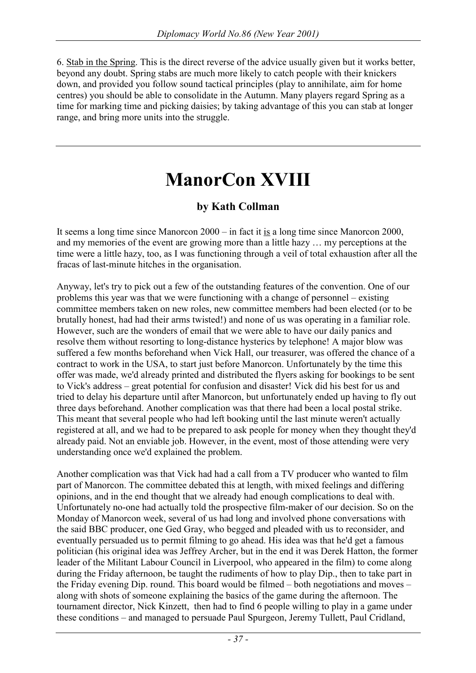6. Stab in the Spring. This is the direct reverse of the advice usually given but it works better, beyond any doubt. Spring stabs are much more likely to catch people with their knickers down, and provided you follow sound tactical principles (play to annihilate, aim for home centres) you should be able to consolidate in the Autumn. Many players regard Spring as a time for marking time and picking daisies; by taking advantage of this you can stab at longer range, and bring more units into the struggle.

## **ManorCon XVIII**

### **by Kath Collman**

It seems a long time since Manorcon 2000 – in fact it is a long time since Manorcon 2000, and my memories of the event are growing more than a little hazy … my perceptions at the time were a little hazy, too, as I was functioning through a veil of total exhaustion after all the fracas of last-minute hitches in the organisation.

Anyway, let's try to pick out a few of the outstanding features of the convention. One of our problems this year was that we were functioning with a change of personnel – existing committee members taken on new roles, new committee members had been elected (or to be brutally honest, had had their arms twisted!) and none of us was operating in a familiar role. However, such are the wonders of email that we were able to have our daily panics and resolve them without resorting to long-distance hysterics by telephone! A major blow was suffered a few months beforehand when Vick Hall, our treasurer, was offered the chance of a contract to work in the USA, to start just before Manorcon. Unfortunately by the time this offer was made, we'd already printed and distributed the flyers asking for bookings to be sent to Vick's address – great potential for confusion and disaster! Vick did his best for us and tried to delay his departure until after Manorcon, but unfortunately ended up having to fly out three days beforehand. Another complication was that there had been a local postal strike. This meant that several people who had left booking until the last minute weren't actually registered at all, and we had to be prepared to ask people for money when they thought they'd already paid. Not an enviable job. However, in the event, most of those attending were very understanding once we'd explained the problem.

Another complication was that Vick had had a call from a TV producer who wanted to film part of Manorcon. The committee debated this at length, with mixed feelings and differing opinions, and in the end thought that we already had enough complications to deal with. Unfortunately no-one had actually told the prospective film-maker of our decision. So on the Monday of Manorcon week, several of us had long and involved phone conversations with the said BBC producer, one Ged Gray, who begged and pleaded with us to reconsider, and eventually persuaded us to permit filming to go ahead. His idea was that he'd get a famous politician (his original idea was Jeffrey Archer, but in the end it was Derek Hatton, the former leader of the Militant Labour Council in Liverpool, who appeared in the film) to come along during the Friday afternoon, be taught the rudiments of how to play Dip., then to take part in the Friday evening Dip. round. This board would be filmed – both negotiations and moves – along with shots of someone explaining the basics of the game during the afternoon. The tournament director, Nick Kinzett, then had to find 6 people willing to play in a game under these conditions – and managed to persuade Paul Spurgeon, Jeremy Tullett, Paul Cridland,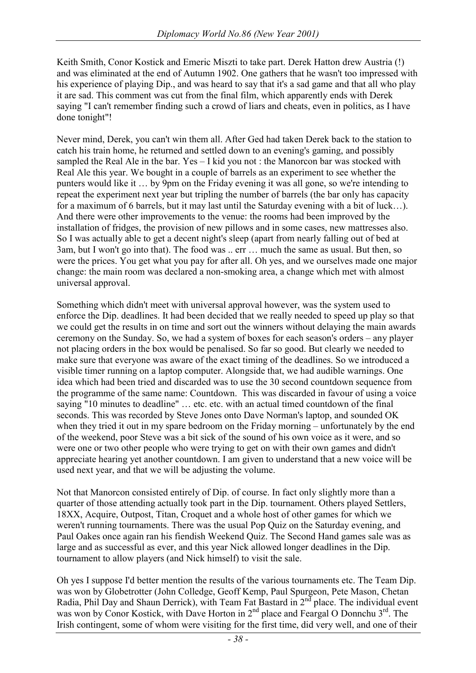Keith Smith, Conor Kostick and Emeric Miszti to take part. Derek Hatton drew Austria (!) and was eliminated at the end of Autumn 1902. One gathers that he wasn't too impressed with his experience of playing Dip., and was heard to say that it's a sad game and that all who play it are sad. This comment was cut from the final film, which apparently ends with Derek saying "I can't remember finding such a crowd of liars and cheats, even in politics, as I have done tonight"!

Never mind, Derek, you can't win them all. After Ged had taken Derek back to the station to catch his train home, he returned and settled down to an evening's gaming, and possibly sampled the Real Ale in the bar. Yes – I kid you not : the Manorcon bar was stocked with Real Ale this year. We bought in a couple of barrels as an experiment to see whether the punters would like it … by 9pm on the Friday evening it was all gone, so we're intending to repeat the experiment next year but tripling the number of barrels (the bar only has capacity for a maximum of 6 barrels, but it may last until the Saturday evening with a bit of luck…). And there were other improvements to the venue: the rooms had been improved by the installation of fridges, the provision of new pillows and in some cases, new mattresses also. So I was actually able to get a decent night's sleep (apart from nearly falling out of bed at 3am, but I won't go into that). The food was .. err … much the same as usual. But then, so were the prices. You get what you pay for after all. Oh yes, and we ourselves made one major change: the main room was declared a non-smoking area, a change which met with almost universal approval.

Something which didn't meet with universal approval however, was the system used to enforce the Dip. deadlines. It had been decided that we really needed to speed up play so that we could get the results in on time and sort out the winners without delaying the main awards ceremony on the Sunday. So, we had a system of boxes for each season's orders – any player not placing orders in the box would be penalised. So far so good. But clearly we needed to make sure that everyone was aware of the exact timing of the deadlines. So we introduced a visible timer running on a laptop computer. Alongside that, we had audible warnings. One idea which had been tried and discarded was to use the 30 second countdown sequence from the programme of the same name: Countdown. This was discarded in favour of using a voice saying "10 minutes to deadline" … etc. etc. with an actual timed countdown of the final seconds. This was recorded by Steve Jones onto Dave Norman's laptop, and sounded OK when they tried it out in my spare bedroom on the Friday morning – unfortunately by the end of the weekend, poor Steve was a bit sick of the sound of his own voice as it were, and so were one or two other people who were trying to get on with their own games and didn't appreciate hearing yet another countdown. I am given to understand that a new voice will be used next year, and that we will be adjusting the volume.

Not that Manorcon consisted entirely of Dip. of course. In fact only slightly more than a quarter of those attending actually took part in the Dip. tournament. Others played Settlers, 18XX, Acquire, Outpost, Titan, Croquet and a whole host of other games for which we weren't running tournaments. There was the usual Pop Quiz on the Saturday evening, and Paul Oakes once again ran his fiendish Weekend Quiz. The Second Hand games sale was as large and as successful as ever, and this year Nick allowed longer deadlines in the Dip. tournament to allow players (and Nick himself) to visit the sale.

Oh yes I suppose I'd better mention the results of the various tournaments etc. The Team Dip. was won by Globetrotter (John Colledge, Geoff Kemp, Paul Spurgeon, Pete Mason, Chetan Radia, Phil Day and Shaun Derrick), with Team Fat Bastard in 2<sup>nd</sup> place. The individual event was won by Conor Kostick, with Dave Horton in 2<sup>nd</sup> place and Feargal O Donnchu 3<sup>rd</sup>. The Irish contingent, some of whom were visiting for the first time, did very well, and one of their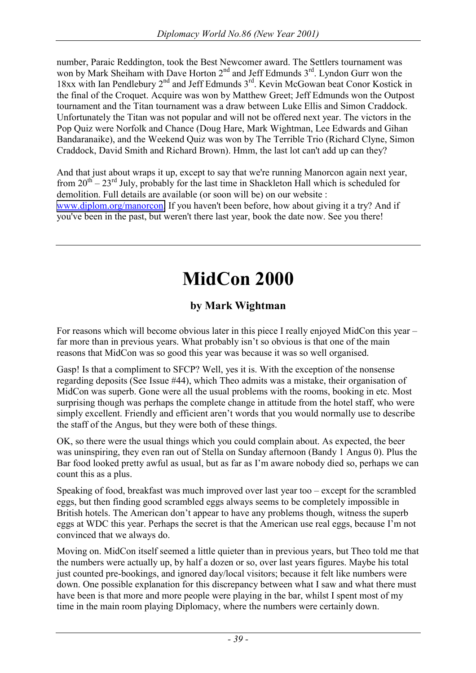number, Paraic Reddington, took the Best Newcomer award. The Settlers tournament was won by Mark Sheiham with Dave Horton 2<sup>nd</sup> and Jeff Edmunds 3<sup>rd</sup>. Lyndon Gurr won the  $18xx$  with Ian Pendlebury  $2<sup>nd</sup>$  and Jeff Edmunds  $3<sup>rd</sup>$ . Kevin McGowan beat Conor Kostick in the final of the Croquet. Acquire was won by Matthew Greet; Jeff Edmunds won the Outpost tournament and the Titan tournament was a draw between Luke Ellis and Simon Craddock. Unfortunately the Titan was not popular and will not be offered next year. The victors in the Pop Quiz were Norfolk and Chance (Doug Hare, Mark Wightman, Lee Edwards and Gihan Bandaranaike), and the Weekend Quiz was won by The Terrible Trio (Richard Clyne, Simon Craddock, David Smith and Richard Brown). Hmm, the last lot can't add up can they?

And that just about wraps it up, except to say that we're running Manorcon again next year, from  $20^{th} - 23^{rd}$  July, probably for the last time in Shackleton Hall which is scheduled for demolition. Full details are available (or soon will be) on our website : [www.diplom.org/manorcon.](http://www.diplom.org/manorcon) If you haven't been before, how about giving it a try? And if you've been in the past, but weren't there last year, book the date now. See you there!

## **MidCon 2000**

### **by Mark Wightman**

For reasons which will become obvious later in this piece I really enjoyed MidCon this year – far more than in previous years. What probably isn't so obvious is that one of the main reasons that MidCon was so good this year was because it was so well organised.

Gasp! Is that a compliment to SFCP? Well, yes it is. With the exception of the nonsense regarding deposits (See Issue #44), which Theo admits was a mistake, their organisation of MidCon was superb. Gone were all the usual problems with the rooms, booking in etc. Most surprising though was perhaps the complete change in attitude from the hotel staff, who were simply excellent. Friendly and efficient aren't words that you would normally use to describe the staff of the Angus, but they were both of these things.

OK, so there were the usual things which you could complain about. As expected, the beer was uninspiring, they even ran out of Stella on Sunday afternoon (Bandy 1 Angus 0). Plus the Bar food looked pretty awful as usual, but as far as I'm aware nobody died so, perhaps we can count this as a plus.

Speaking of food, breakfast was much improved over last year too – except for the scrambled eggs, but then finding good scrambled eggs always seems to be completely impossible in British hotels. The American don't appear to have any problems though, witness the superb eggs at WDC this year. Perhaps the secret is that the American use real eggs, because I'm not convinced that we always do.

Moving on. MidCon itself seemed a little quieter than in previous years, but Theo told me that the numbers were actually up, by half a dozen or so, over last years figures. Maybe his total just counted pre-bookings, and ignored day/local visitors; because it felt like numbers were down. One possible explanation for this discrepancy between what I saw and what there must have been is that more and more people were playing in the bar, whilst I spent most of my time in the main room playing Diplomacy, where the numbers were certainly down.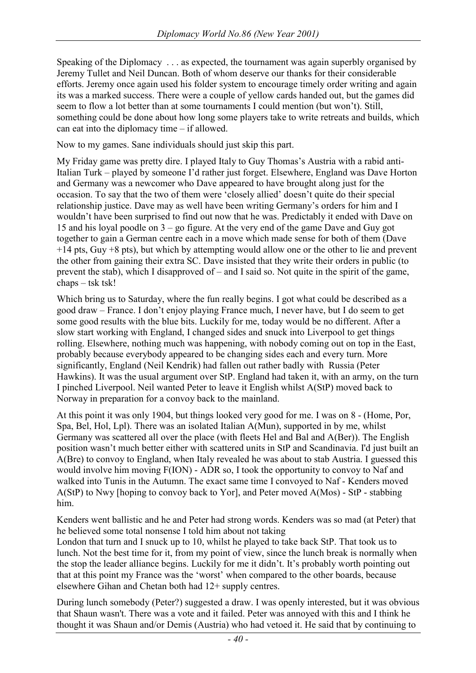Speaking of the Diplomacy . . . as expected, the tournament was again superbly organised by Jeremy Tullet and Neil Duncan. Both of whom deserve our thanks for their considerable efforts. Jeremy once again used his folder system to encourage timely order writing and again its was a marked success. There were a couple of yellow cards handed out, but the games did seem to flow a lot better than at some tournaments I could mention (but won't). Still, something could be done about how long some players take to write retreats and builds, which can eat into the diplomacy time – if allowed.

Now to my games. Sane individuals should just skip this part.

My Friday game was pretty dire. I played Italy to Guy Thomas's Austria with a rabid anti-Italian Turk – played by someone I'd rather just forget. Elsewhere, England was Dave Horton and Germany was a newcomer who Dave appeared to have brought along just for the occasion. To say that the two of them were 'closely allied' doesn't quite do their special relationship justice. Dave may as well have been writing Germany's orders for him and I wouldn't have been surprised to find out now that he was. Predictably it ended with Dave on 15 and his loyal poodle on 3 – go figure. At the very end of the game Dave and Guy got together to gain a German centre each in a move which made sense for both of them (Dave  $+14$  pts, Guy  $+8$  pts), but which by attempting would allow one or the other to lie and prevent the other from gaining their extra SC. Dave insisted that they write their orders in public (to prevent the stab), which I disapproved of – and I said so. Not quite in the spirit of the game, chaps – tsk tsk!

Which bring us to Saturday, where the fun really begins. I got what could be described as a good draw – France. I don't enjoy playing France much, I never have, but I do seem to get some good results with the blue bits. Luckily for me, today would be no different. After a slow start working with England, I changed sides and snuck into Liverpool to get things rolling. Elsewhere, nothing much was happening, with nobody coming out on top in the East, probably because everybody appeared to be changing sides each and every turn. More significantly, England (Neil Kendrik) had fallen out rather badly with Russia (Peter Hawkins). It was the usual argument over StP. England had taken it, with an army, on the turn I pinched Liverpool. Neil wanted Peter to leave it English whilst A(StP) moved back to Norway in preparation for a convoy back to the mainland.

At this point it was only 1904, but things looked very good for me. I was on 8 - (Home, Por, Spa, Bel, Hol, Lpl). There was an isolated Italian A(Mun), supported in by me, whilst Germany was scattered all over the place (with fleets Hel and Bal and A(Ber)). The English position wasn't much better either with scattered units in StP and Scandinavia. I'd just built an A(Bre) to convoy to England, when Italy revealed he was about to stab Austria. I guessed this would involve him moving F(ION) - ADR so, I took the opportunity to convoy to Naf and walked into Tunis in the Autumn. The exact same time I convoyed to Naf - Kenders moved A(StP) to Nwy [hoping to convoy back to Yor], and Peter moved A(Mos) - StP - stabbing him.

Kenders went ballistic and he and Peter had strong words. Kenders was so mad (at Peter) that he believed some total nonsense I told him about not taking

London that turn and I snuck up to 10, whilst he played to take back StP. That took us to lunch. Not the best time for it, from my point of view, since the lunch break is normally when the stop the leader alliance begins. Luckily for me it didn't. It's probably worth pointing out that at this point my France was the 'worst' when compared to the other boards, because elsewhere Gihan and Chetan both had 12+ supply centres.

During lunch somebody (Peter?) suggested a draw. I was openly interested, but it was obvious that Shaun wasn't. There was a vote and it failed. Peter was annoyed with this and I think he thought it was Shaun and/or Demis (Austria) who had vetoed it. He said that by continuing to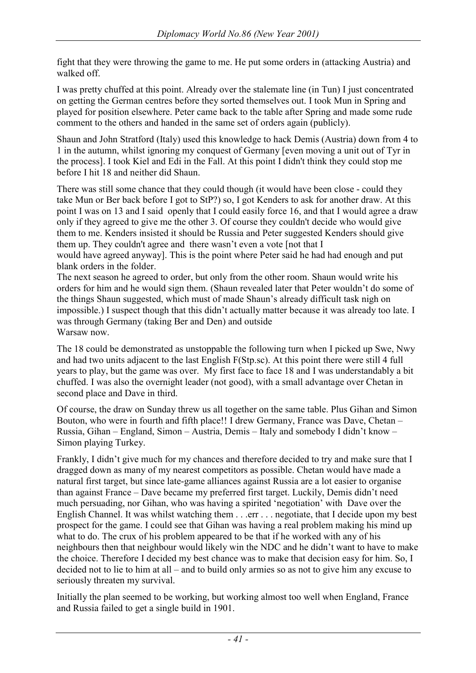fight that they were throwing the game to me. He put some orders in (attacking Austria) and walked off.

I was pretty chuffed at this point. Already over the stalemate line (in Tun) I just concentrated on getting the German centres before they sorted themselves out. I took Mun in Spring and played for position elsewhere. Peter came back to the table after Spring and made some rude comment to the others and handed in the same set of orders again (publicly).

Shaun and John Stratford (Italy) used this knowledge to hack Demis (Austria) down from 4 to 1 in the autumn, whilst ignoring my conquest of Germany [even moving a unit out of Tyr in the process]. I took Kiel and Edi in the Fall. At this point I didn't think they could stop me before I hit 18 and neither did Shaun.

There was still some chance that they could though (it would have been close - could they take Mun or Ber back before I got to StP?) so, I got Kenders to ask for another draw. At this point I was on 13 and I said openly that I could easily force 16, and that I would agree a draw only if they agreed to give me the other 3. Of course they couldn't decide who would give them to me. Kenders insisted it should be Russia and Peter suggested Kenders should give them up. They couldn't agree and there wasn't even a vote [not that I would have agreed anyway]. This is the point where Peter said he had had enough and put

blank orders in the folder. The next season he agreed to order, but only from the other room. Shaun would write his orders for him and he would sign them. (Shaun revealed later that Peter wouldn't do some of the things Shaun suggested, which must of made Shaun's already difficult task nigh on

impossible.) I suspect though that this didn't actually matter because it was already too late. I was through Germany (taking Ber and Den) and outside Warsaw now.

The 18 could be demonstrated as unstoppable the following turn when I picked up Swe, Nwy and had two units adjacent to the last English F(Stp.sc). At this point there were still 4 full years to play, but the game was over. My first face to face 18 and I was understandably a bit chuffed. I was also the overnight leader (not good), with a small advantage over Chetan in second place and Dave in third.

Of course, the draw on Sunday threw us all together on the same table. Plus Gihan and Simon Bouton, who were in fourth and fifth place!! I drew Germany, France was Dave, Chetan – Russia, Gihan – England, Simon – Austria, Demis – Italy and somebody I didn't know – Simon playing Turkey.

Frankly, I didn't give much for my chances and therefore decided to try and make sure that I dragged down as many of my nearest competitors as possible. Chetan would have made a natural first target, but since late-game alliances against Russia are a lot easier to organise than against France – Dave became my preferred first target. Luckily, Demis didn't need much persuading, nor Gihan, who was having a spirited 'negotiation' with Dave over the English Channel. It was whilst watching them . . . err . . . negotiate, that I decide upon my best prospect for the game. I could see that Gihan was having a real problem making his mind up what to do. The crux of his problem appeared to be that if he worked with any of his neighbours then that neighbour would likely win the NDC and he didn't want to have to make the choice. Therefore I decided my best chance was to make that decision easy for him. So, I decided not to lie to him at all – and to build only armies so as not to give him any excuse to seriously threaten my survival.

Initially the plan seemed to be working, but working almost too well when England, France and Russia failed to get a single build in 1901.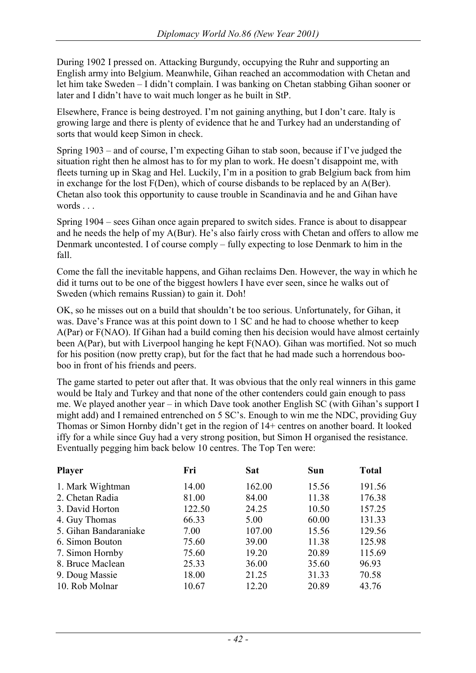During 1902 I pressed on. Attacking Burgundy, occupying the Ruhr and supporting an English army into Belgium. Meanwhile, Gihan reached an accommodation with Chetan and let him take Sweden – I didn't complain. I was banking on Chetan stabbing Gihan sooner or later and I didn't have to wait much longer as he built in StP.

Elsewhere, France is being destroyed. I'm not gaining anything, but I don't care. Italy is growing large and there is plenty of evidence that he and Turkey had an understanding of sorts that would keep Simon in check.

Spring 1903 – and of course, I'm expecting Gihan to stab soon, because if I've judged the situation right then he almost has to for my plan to work. He doesn't disappoint me, with fleets turning up in Skag and Hel. Luckily, I'm in a position to grab Belgium back from him in exchange for the lost F(Den), which of course disbands to be replaced by an A(Ber). Chetan also took this opportunity to cause trouble in Scandinavia and he and Gihan have words . . .

Spring 1904 – sees Gihan once again prepared to switch sides. France is about to disappear and he needs the help of my A(Bur). He's also fairly cross with Chetan and offers to allow me Denmark uncontested. I of course comply – fully expecting to lose Denmark to him in the fall.

Come the fall the inevitable happens, and Gihan reclaims Den. However, the way in which he did it turns out to be one of the biggest howlers I have ever seen, since he walks out of Sweden (which remains Russian) to gain it. Doh!

OK, so he misses out on a build that shouldn't be too serious. Unfortunately, for Gihan, it was. Dave's France was at this point down to 1 SC and he had to choose whether to keep A(Par) or F(NAO). If Gihan had a build coming then his decision would have almost certainly been A(Par), but with Liverpool hanging he kept F(NAO). Gihan was mortified. Not so much for his position (now pretty crap), but for the fact that he had made such a horrendous booboo in front of his friends and peers.

The game started to peter out after that. It was obvious that the only real winners in this game would be Italy and Turkey and that none of the other contenders could gain enough to pass me. We played another year – in which Dave took another English SC (with Gihan's support I might add) and I remained entrenched on 5 SC's. Enough to win me the NDC, providing Guy Thomas or Simon Hornby didn't get in the region of 14+ centres on another board. It looked iffy for a while since Guy had a very strong position, but Simon H organised the resistance. Eventually pegging him back below 10 centres. The Top Ten were:

| <b>Player</b>         | Fri    | <b>Sat</b> | Sun   | <b>Total</b> |
|-----------------------|--------|------------|-------|--------------|
| 1. Mark Wightman      | 14.00  | 162.00     | 15.56 | 191.56       |
| 2. Chetan Radia       | 81.00  | 84.00      | 11.38 | 176.38       |
| 3. David Horton       | 122.50 | 24.25      | 10.50 | 157.25       |
| 4. Guy Thomas         | 66.33  | 5.00       | 60.00 | 131.33       |
| 5. Gihan Bandaraniake | 7.00   | 107.00     | 15.56 | 129.56       |
| 6. Simon Bouton       | 75.60  | 39.00      | 11.38 | 125.98       |
| 7. Simon Hornby       | 75.60  | 19.20      | 20.89 | 115.69       |
| 8. Bruce Maclean      | 25.33  | 36.00      | 35.60 | 96.93        |
| 9. Doug Massie        | 18.00  | 21.25      | 31.33 | 70.58        |
| 10. Rob Molnar        | 10.67  | 12.20      | 20.89 | 43.76        |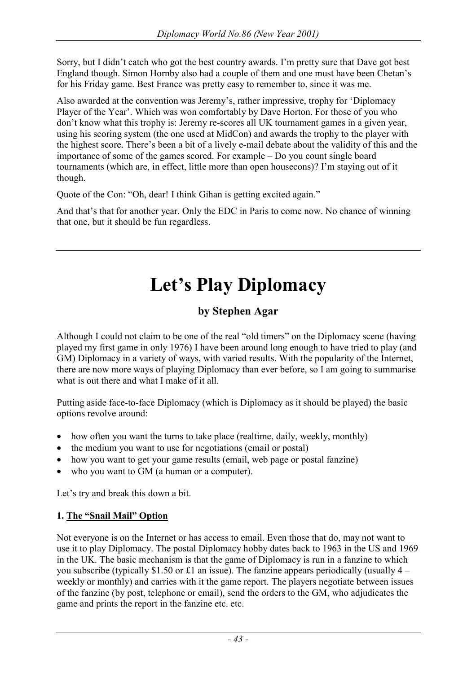Sorry, but I didn't catch who got the best country awards. I'm pretty sure that Dave got best England though. Simon Hornby also had a couple of them and one must have been Chetan's for his Friday game. Best France was pretty easy to remember to, since it was me.

Also awarded at the convention was Jeremy's, rather impressive, trophy for 'Diplomacy Player of the Year'. Which was won comfortably by Dave Horton. For those of you who don't know what this trophy is: Jeremy re-scores all UK tournament games in a given year, using his scoring system (the one used at MidCon) and awards the trophy to the player with the highest score. There's been a bit of a lively e-mail debate about the validity of this and the importance of some of the games scored. For example – Do you count single board tournaments (which are, in effect, little more than open housecons)? I'm staying out of it though.

Quote of the Con: "Oh, dear! I think Gihan is getting excited again."

And that's that for another year. Only the EDC in Paris to come now. No chance of winning that one, but it should be fun regardless.

## **Let's Play Diplomacy**

### **by Stephen Agar**

Although I could not claim to be one of the real "old timers" on the Diplomacy scene (having played my first game in only 1976) I have been around long enough to have tried to play (and GM) Diplomacy in a variety of ways, with varied results. With the popularity of the Internet, there are now more ways of playing Diplomacy than ever before, so I am going to summarise what is out there and what I make of it all.

Putting aside face-to-face Diplomacy (which is Diplomacy as it should be played) the basic options revolve around:

- how often you want the turns to take place (realtime, daily, weekly, monthly)
- the medium you want to use for negotiations (email or postal)
- how you want to get your game results (email, web page or postal fanzine)
- who you want to GM (a human or a computer).

Let's try and break this down a bit.

### **1. The "Snail Mail" Option**

Not everyone is on the Internet or has access to email. Even those that do, may not want to use it to play Diplomacy. The postal Diplomacy hobby dates back to 1963 in the US and 1969 in the UK. The basic mechanism is that the game of Diplomacy is run in a fanzine to which you subscribe (typically \$1.50 or £1 an issue). The fanzine appears periodically (usually  $4$ weekly or monthly) and carries with it the game report. The players negotiate between issues of the fanzine (by post, telephone or email), send the orders to the GM, who adjudicates the game and prints the report in the fanzine etc. etc.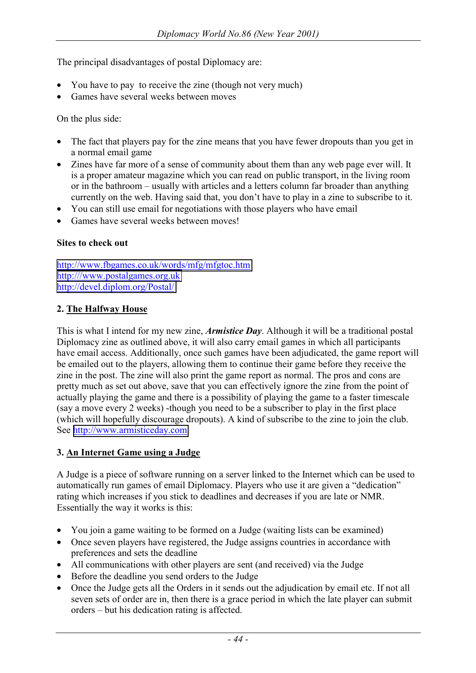The principal disadvantages of postal Diplomacy are:

- You have to pay to receive the zine (though not very much)
- Games have several weeks between moves

On the plus side:

- The fact that players pay for the zine means that you have fewer dropouts than you get in a normal email game
- Zines have far more of a sense of community about them than any web page ever will. It is a proper amateur magazine which you can read on public transport, in the living room or in the bathroom – usually with articles and a letters column far broader than anything currently on the web. Having said that, you don't have to play in a zine to subscribe to it.
- You can still use email for negotiations with those players who have email
- Games have several weeks between moves!

### **Sites to check out**

<http://www.fbgames.co.uk/words/mfg/mfgtoc.htm> <http:///www.postalgames.org.uk> <http://devel.diplom.org/Postal/>

### **2. The Halfway House**

This is what I intend for my new zine, *Armistice Day*. Although it will be a traditional postal Diplomacy zine as outlined above, it will also carry email games in which all participants have email access. Additionally, once such games have been adjudicated, the game report will be emailed out to the players, allowing them to continue their game before they receive the zine in the post. The zine will also print the game report as normal. The pros and cons are pretty much as set out above, save that you can effectively ignore the zine from the point of actually playing the game and there is a possibility of playing the game to a faster timescale (say a move every 2 weeks) -though you need to be a subscriber to play in the first place (which will hopefully discourage dropouts). A kind of subscribe to the zine to join the club. See [http://www.armisticeday.com](http://www.armisticeday.com/)

### **3. An Internet Game using a Judge**

A Judge is a piece of software running on a server linked to the Internet which can be used to automatically run games of email Diplomacy. Players who use it are given a "dedication" rating which increases if you stick to deadlines and decreases if you are late or NMR. Essentially the way it works is this:

- You join a game waiting to be formed on a Judge (waiting lists can be examined)
- Once seven players have registered, the Judge assigns countries in accordance with preferences and sets the deadline
- All communications with other players are sent (and received) via the Judge
- Before the deadline you send orders to the Judge
- Once the Judge gets all the Orders in it sends out the adjudication by email etc. If not all seven sets of order are in, then there is a grace period in which the late player can submit orders – but his dedication rating is affected.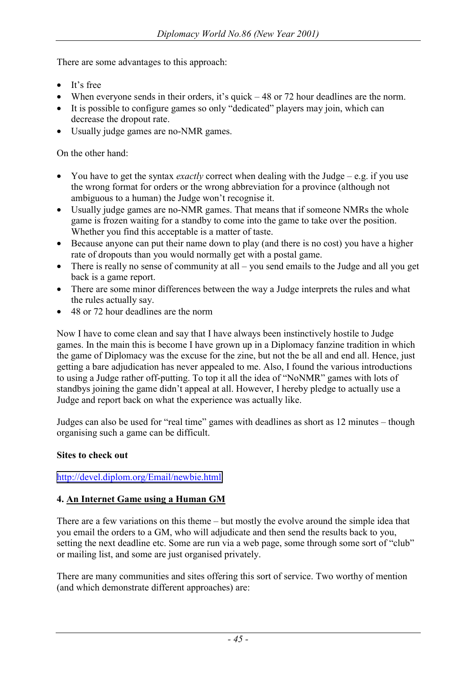There are some advantages to this approach:

- It's free
- When everyone sends in their orders, it's quick 48 or 72 hour deadlines are the norm.
- It is possible to configure games so only "dedicated" players may join, which can decrease the dropout rate.
- Usually judge games are no-NMR games.

On the other hand:

- You have to get the syntax *exactly* correct when dealing with the Judge e.g. if you use the wrong format for orders or the wrong abbreviation for a province (although not ambiguous to a human) the Judge won't recognise it.
- Usually judge games are no-NMR games. That means that if someone NMRs the whole game is frozen waiting for a standby to come into the game to take over the position. Whether you find this acceptable is a matter of taste.
- Because anyone can put their name down to play (and there is no cost) you have a higher rate of dropouts than you would normally get with a postal game.
- There is really no sense of community at all you send emails to the Judge and all you get back is a game report.
- There are some minor differences between the way a Judge interprets the rules and what the rules actually say.
- 48 or 72 hour deadlines are the norm

Now I have to come clean and say that I have always been instinctively hostile to Judge games. In the main this is become I have grown up in a Diplomacy fanzine tradition in which the game of Diplomacy was the excuse for the zine, but not the be all and end all. Hence, just getting a bare adjudication has never appealed to me. Also, I found the various introductions to using a Judge rather off-putting. To top it all the idea of "NoNMR" games with lots of standbys joining the game didn't appeal at all. However, I hereby pledge to actually use a Judge and report back on what the experience was actually like.

Judges can also be used for "real time" games with deadlines as short as 12 minutes – though organising such a game can be difficult.

### **Sites to check out**

<http://devel.diplom.org/Email/newbie.html>

### **4. An Internet Game using a Human GM**

There are a few variations on this theme – but mostly the evolve around the simple idea that you email the orders to a GM, who will adjudicate and then send the results back to you, setting the next deadline etc. Some are run via a web page, some through some sort of "club" or mailing list, and some are just organised privately.

There are many communities and sites offering this sort of service. Two worthy of mention (and which demonstrate different approaches) are: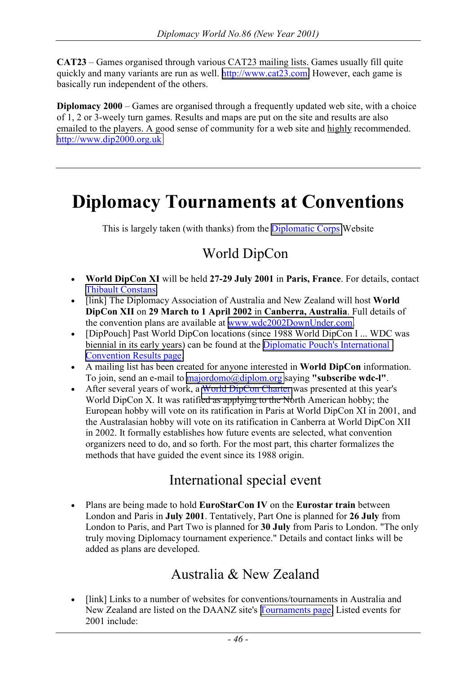**CAT23** – Games organised through various CAT23 mailing lists. Games usually fill quite quickly and many variants are run as well. [http://www.cat23.com.](http://www.cat23.com/) However, each game is basically run independent of the others.

**Diplomacy 2000** – Games are organised through a frequently updated web site, with a choice of 1, 2 or 3-weely turn games. Results and maps are put on the site and results are also emailed to the players. A good sense of community for a web site and highly recommended. [http://www.dip2000.org.uk](http://www.dip2000.org.uk/)

## **Diplomacy Tournaments at Conventions**

This is largely taken (with thanks) from the [Diplomatic Corps](http://www.diplomaticcorps.org/) Website

### World DipCon

- **World DipCon XI** will be held **27-29 July 2001** in **Paris, France**. For details, contact [Thibault Constans.](mailto:thibault.constans@vnumail.com)
- [link] The Diplomacy Association of Australia and New Zealand will host **World DipCon XII** on **29 March to 1 April 2002** in **Canberra, Australia**. Full details of the convention plans are available at [www.wdc2002DownUnder.com.](http://www.wdc2002downunder.com/)
- [DipPouch] Past World DipCon locations (since 1988 World DipCon I ... WDC was biennial in its early years) can be found at the [Diplomatic Pouch's International](http://devel.diplom.org/DipPouch/Face/results/index.html)  [Convention Results page.](http://devel.diplom.org/DipPouch/Face/results/index.html)
- A mailing list has been created for anyone interested in **World DipCon** information. To join, send an e-mail to [majordomo@diplom.org](mailto:majordomo@diplom.org) saying **"subscribe wdc-l"**.
- After several years of work, a [World DipCon Charter](http://www.diplomaticcorps.org/ReferenceLinks/WDCcharter.txt) was presented at this year's World DipCon X. It was ratified as applying to the North American hobby; the European hobby will vote on its ratification in Paris at World DipCon XI in 2001, and the Australasian hobby will vote on its ratification in Canberra at World DipCon XII in 2002. It formally establishes how future events are selected, what convention organizers need to do, and so forth. For the most part, this charter formalizes the methods that have guided the event since its 1988 origin.

### International special event

• Plans are being made to hold **EuroStarCon IV** on the **Eurostar train** between London and Paris in **July 2001**. Tentatively, Part One is planned for **26 July** from London to Paris, and Part Two is planned for **30 July** from Paris to London. "The only truly moving Diplomacy tournament experience." Details and contact links will be added as plans are developed.

### Australia & New Zealand

• [link] Links to a number of websites for conventions/tournaments in Australia and New Zealand are listed on the DAANZ site's [Tournaments page.](http://www.thingy.apana.org.au/~ozdip/dip-tour.htm) Listed events for 2001 include: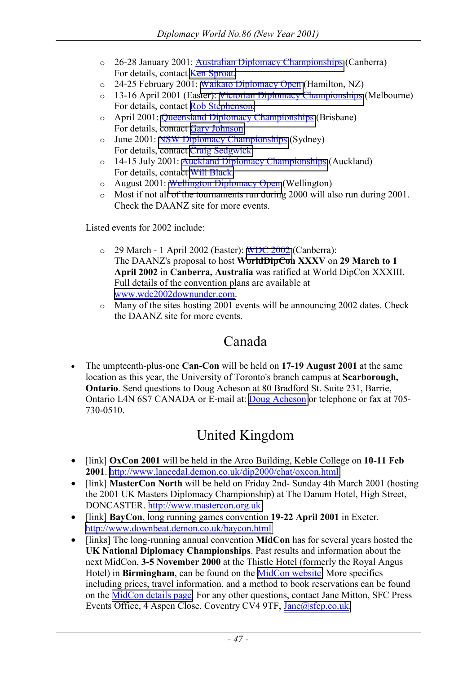- o 26-28 January 2001: [Australian Diplomacy Championships](http://www.thingy.apana.org.au/~ozdip/dip-tour.htm#AUSTChamps2001) (Canberra) For details, contact [Ken Sproat.](mailto:kenspr@webaxs.net)
- o 24-25 February 2001: [Waikato Diplomacy Open](http://www.thingy.apana.org.au/~ozdip/dip-tour.htm#WAIKATO2001) (Hamilton, NZ)
- o 13-16 April 2001 (Easter): [Victorian Diplomacy Championships](http://www.thingy.apana.org.au/~ozdip/dip-tour.htm#VICChamps2001) (Melbourne) For details, contact [Rob Stephenson.](mailto:rstephenson@mfbb.vic.gov.au)
- o April 2001: [Queensland Diplomacy Championships](http://www.thingy.apana.org.au/~ozdip/dip-tour.htm#QLDChamps2001) (Brisbane) For details, contact [Gary Johnson.](mailto:garyjohnson@uq.net.au)
- o June 2001: [NSW Diplomacy Championships](http://www.thingy.apana.org.au/~ozdip/dip-tour.htm#NSWChamps2001) (Sydney) For details, contact [Craig Sedgwick.](mailto:craigsed@ozemail.com.au)
- o 14-15 July 2001: [Auckland Diplomacy Championships](http://www.thingy.apana.org.au/~ozdip/dip-tour.htm#Auckland2001) (Auckland) For details, contact [Will Black.](mailto:willb@esp.co.nz)
- o August 2001: [Wellington Diplomacy Open](http://www.thingy.apana.org.au/~ozdip/dip-tour.htm#WELLINGTON2001) (Wellington)
- o Most if not all of the tournaments run during 2000 will also run during 2001. Check the DAANZ site for more events.

Listed events for 2002 include:

- $\degree$  29 March 1 April 2002 (Easter): [WDC 2002](http://www.wdc2002downunder.com/) (Canberra): The DAANZ's proposal to host **WorldDipCon XXXV** on **29 March to 1 April 2002** in **Canberra, Australia** was ratified at World DipCon XXXIII. Full details of the convention plans are available at [www.wdc2002downunder.com.](http://www.wdc2002downunder.com/)
- o Many of the sites hosting 2001 events will be announcing 2002 dates. Check the DAANZ site for more events.

### Canada

• The umpteenth-plus-one **Can-Con** will be held on **17-19 August 2001** at the same location as this year, the University of Toronto's branch campus at **Scarborough, Ontario**. Send questions to Doug Acheson at 80 Bradford St. Suite 231, Barrie, Ontario L4N 6S7 CANADA or E-mail at: [Doug Acheson](mailto:nithgrove@on.aibn.com) or telephone or fax at 705- 730-0510.

### United Kingdom

- [link] **OxCon 2001** will be held in the Arco Building, Keble College on **10-11 Feb 2001**. <http://www.lancedal.demon.co.uk/dip2000/chat/oxcon.html>
- [link] **MasterCon North** will be held on Friday 2nd- Sunday 4th March 2001 (hosting the 2001 UK Masters Diplomacy Championship) at The Danum Hotel, High Street, DONCASTER. [http://www.mastercon.org.uk](http://www.mastercon.org.uk/)
- [link] **BayCon**, long running games convention **19-22 April 2001** in Exeter. <http://www.downbeat.demon.co.uk/baycon.html>
- [links] The long-running annual convention **MidCon** has for several years hosted the **UK National Diplomacy Championships**. Past results and information about the next MidCon, **3-5 November 2000** at the Thistle Hotel (formerly the Royal Angus Hotel) in **Birmingham**, can be found on the [MidCon website.](http://ourworld.compuserve.com/homepages/jdodds/midcon.htm) More specifics including prices, travel information, and a method to book reservations can be found on the [MidCon details page.](http://www.sfcp.co.uk/midcon.htm) For any other questions, contact Jane Mitton, SFC Press Events Office, 4 Aspen Close, Coventry CV4 9TF, [Jane@sfcp.co.uk.](mailto:Jane@sfcp.co.uk)